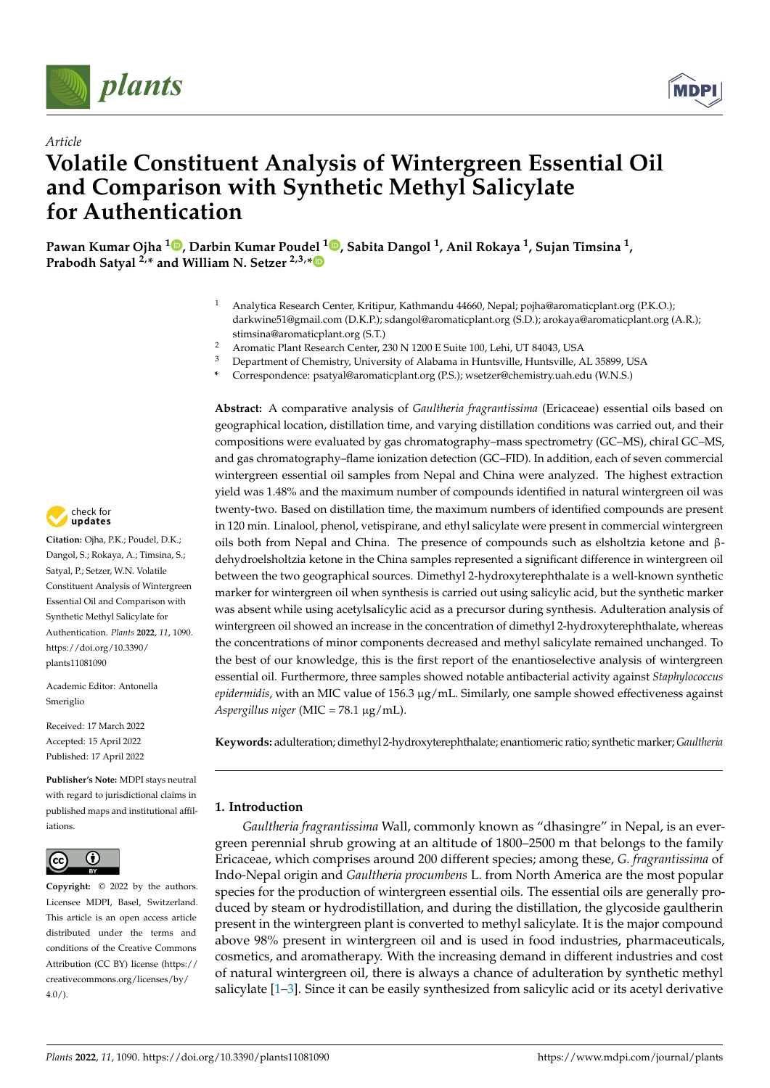



# *Article* **Volatile Constituent Analysis of Wintergreen Essential Oil and Comparison with Synthetic Methyl Salicylate for Authentication**

**Pawan Kumar Ojha <sup>1</sup> [,](https://orcid.org/0000-0003-1503-0029) Darbin Kumar Poudel <sup>1</sup> [,](https://orcid.org/0000-0003-2331-3440) Sabita Dangol <sup>1</sup> , Anil Rokaya <sup>1</sup> , Sujan Timsina <sup>1</sup> , Prabodh Satyal 2,\* and William N. Setzer 2,3,[\\*](https://orcid.org/0000-0002-3639-0528)**

- <sup>1</sup> Analytica Research Center, Kritipur, Kathmandu 44660, Nepal; pojha@aromaticplant.org (P.K.O.); darkwine51@gmail.com (D.K.P.); sdangol@aromaticplant.org (S.D.); arokaya@aromaticplant.org (A.R.); stimsina@aromaticplant.org (S.T.)
- <sup>2</sup> Aromatic Plant Research Center, 230 N 1200 E Suite 100, Lehi, UT 84043, USA<br><sup>3</sup> Department of Chamistus University of Alabama in Huntavilla Huntavilla
- <sup>3</sup> Department of Chemistry, University of Alabama in Huntsville, Huntsville, AL 35899, USA
- **\*** Correspondence: psatyal@aromaticplant.org (P.S.); wsetzer@chemistry.uah.edu (W.N.S.)

**Abstract:** A comparative analysis of *Gaultheria fragrantissima* (Ericaceae) essential oils based on geographical location, distillation time, and varying distillation conditions was carried out, and their compositions were evaluated by gas chromatography–mass spectrometry (GC–MS), chiral GC–MS, and gas chromatography–flame ionization detection (GC–FID). In addition, each of seven commercial wintergreen essential oil samples from Nepal and China were analyzed. The highest extraction yield was 1.48% and the maximum number of compounds identified in natural wintergreen oil was twenty-two. Based on distillation time, the maximum numbers of identified compounds are present in 120 min. Linalool, phenol, vetispirane, and ethyl salicylate were present in commercial wintergreen oils both from Nepal and China. The presence of compounds such as elsholtzia ketone and βdehydroelsholtzia ketone in the China samples represented a significant difference in wintergreen oil between the two geographical sources. Dimethyl 2-hydroxyterephthalate is a well-known synthetic marker for wintergreen oil when synthesis is carried out using salicylic acid, but the synthetic marker was absent while using acetylsalicylic acid as a precursor during synthesis. Adulteration analysis of wintergreen oil showed an increase in the concentration of dimethyl 2-hydroxyterephthalate, whereas the concentrations of minor components decreased and methyl salicylate remained unchanged. To the best of our knowledge, this is the first report of the enantioselective analysis of wintergreen essential oil. Furthermore, three samples showed notable antibacterial activity against *Staphylococcus epidermidis*, with an MIC value of 156.3 µg/mL. Similarly, one sample showed effectiveness against *Aspergillus niger* (MIC = 78.1 µg/mL).

**Keywords:** adulteration; dimethyl 2-hydroxyterephthalate; enantiomeric ratio; synthetic marker; *Gaultheria*

## **1. Introduction**

*Gaultheria fragrantissima* Wall, commonly known as "dhasingre" in Nepal, is an evergreen perennial shrub growing at an altitude of 1800–2500 m that belongs to the family Ericaceae, which comprises around 200 different species; among these, *G. fragrantissima* of Indo-Nepal origin and *Gaultheria procumbens* L. from North America are the most popular species for the production of wintergreen essential oils. The essential oils are generally produced by steam or hydrodistillation, and during the distillation, the glycoside gaultherin present in the wintergreen plant is converted to methyl salicylate. It is the major compound above 98% present in wintergreen oil and is used in food industries, pharmaceuticals, cosmetics, and aromatherapy. With the increasing demand in different industries and cost of natural wintergreen oil, there is always a chance of adulteration by synthetic methyl salicylate [\[1](#page-13-0)[–3\]](#page-13-1). Since it can be easily synthesized from salicylic acid or its acetyl derivative



**Citation:** Ojha, P.K.; Poudel, D.K.; Dangol, S.; Rokaya, A.; Timsina, S.; Satyal, P.; Setzer, W.N. Volatile Constituent Analysis of Wintergreen Essential Oil and Comparison with Synthetic Methyl Salicylate for Authentication. *Plants* **2022**, *11*, 1090. [https://doi.org/10.3390/](https://doi.org/10.3390/plants11081090) [plants11081090](https://doi.org/10.3390/plants11081090)

Academic Editor: Antonella Smeriglio

Received: 17 March 2022 Accepted: 15 April 2022 Published: 17 April 2022

**Publisher's Note:** MDPI stays neutral with regard to jurisdictional claims in published maps and institutional affiliations.



**Copyright:** © 2022 by the authors. Licensee MDPI, Basel, Switzerland. This article is an open access article distributed under the terms and conditions of the Creative Commons Attribution (CC BY) license [\(https://](https://creativecommons.org/licenses/by/4.0/) [creativecommons.org/licenses/by/](https://creativecommons.org/licenses/by/4.0/)  $4.0/$ ).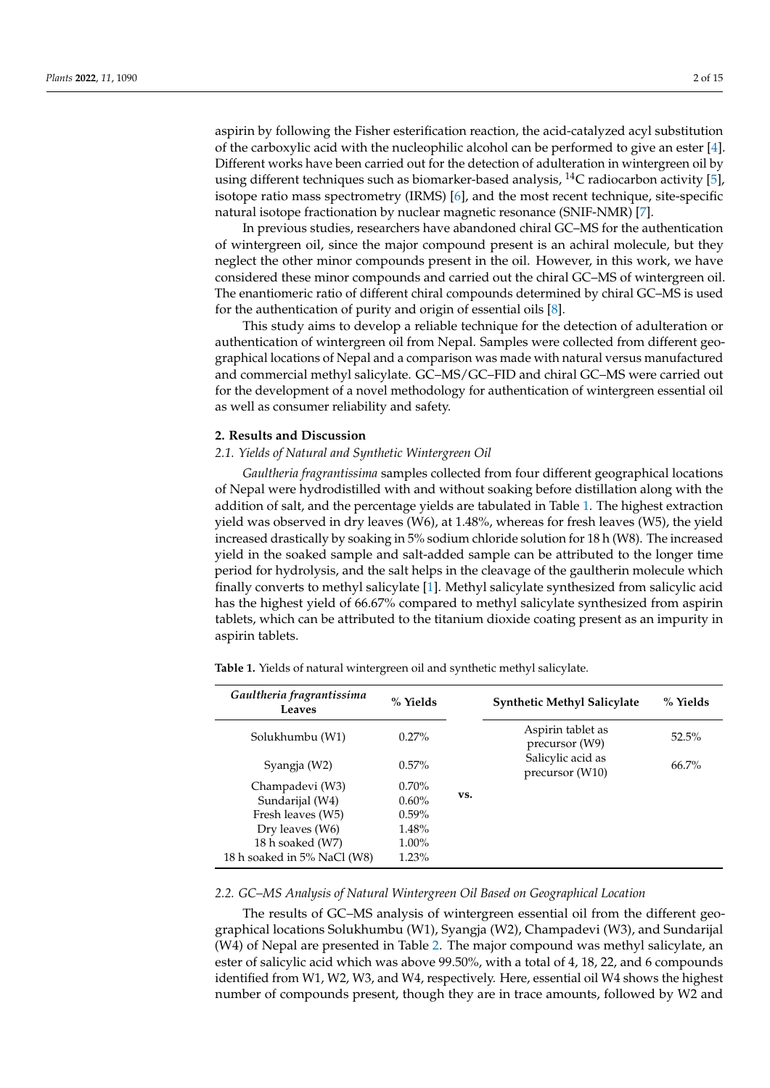aspirin by following the Fisher esterification reaction, the acid-catalyzed acyl substitution of the carboxylic acid with the nucleophilic alcohol can be performed to give an ester [\[4\]](#page-13-2). Different works have been carried out for the detection of adulteration in wintergreen oil by using different techniques such as biomarker-based analysis,  ${}^{14}C$  radiocarbon activity [\[5\]](#page-13-3), isotope ratio mass spectrometry (IRMS) [\[6\]](#page-13-4), and the most recent technique, site-specific natural isotope fractionation by nuclear magnetic resonance (SNIF-NMR) [\[7\]](#page-13-5).

In previous studies, researchers have abandoned chiral GC–MS for the authentication of wintergreen oil, since the major compound present is an achiral molecule, but they neglect the other minor compounds present in the oil. However, in this work, we have considered these minor compounds and carried out the chiral GC–MS of wintergreen oil. The enantiomeric ratio of different chiral compounds determined by chiral GC–MS is used for the authentication of purity and origin of essential oils [\[8\]](#page-13-6).

This study aims to develop a reliable technique for the detection of adulteration or authentication of wintergreen oil from Nepal. Samples were collected from different geographical locations of Nepal and a comparison was made with natural versus manufactured and commercial methyl salicylate. GC–MS/GC–FID and chiral GC–MS were carried out for the development of a novel methodology for authentication of wintergreen essential oil as well as consumer reliability and safety.

#### **2. Results and Discussion**

#### *2.1. Yields of Natural and Synthetic Wintergreen Oil*

*Gaultheria fragrantissima* samples collected from four different geographical locations of Nepal were hydrodistilled with and without soaking before distillation along with the addition of salt, and the percentage yields are tabulated in Table [1.](#page-1-0) The highest extraction yield was observed in dry leaves (W6), at 1.48%, whereas for fresh leaves (W5), the yield increased drastically by soaking in 5% sodium chloride solution for 18 h (W8). The increased yield in the soaked sample and salt-added sample can be attributed to the longer time period for hydrolysis, and the salt helps in the cleavage of the gaultherin molecule which finally converts to methyl salicylate [\[1\]](#page-13-0). Methyl salicylate synthesized from salicylic acid has the highest yield of 66.67% compared to methyl salicylate synthesized from aspirin tablets, which can be attributed to the titanium dioxide coating present as an impurity in aspirin tablets.

<span id="page-1-0"></span>**Table 1.** Yields of natural wintergreen oil and synthetic methyl salicylate.

| % Yields | <b>Synthetic Methyl Salicylate</b>   | % Yields |
|----------|--------------------------------------|----------|
| $0.27\%$ | Aspirin tablet as<br>precursor (W9)  | $52.5\%$ |
| $0.57\%$ | Salicylic acid as<br>precursor (W10) | $66.7\%$ |
| $0.70\%$ |                                      |          |
| $0.60\%$ |                                      |          |
| $0.59\%$ |                                      |          |
| $1.48\%$ |                                      |          |
| $1.00\%$ |                                      |          |
| 1.23%    |                                      |          |
|          | VS.                                  |          |

#### *2.2. GC–MS Analysis of Natural Wintergreen Oil Based on Geographical Location*

The results of GC–MS analysis of wintergreen essential oil from the different geographical locations Solukhumbu (W1), Syangja (W2), Champadevi (W3), and Sundarijal (W4) of Nepal are presented in Table [2.](#page-2-0) The major compound was methyl salicylate, an ester of salicylic acid which was above 99.50%, with a total of 4, 18, 22, and 6 compounds identified from W1, W2, W3, and W4, respectively. Here, essential oil W4 shows the highest number of compounds present, though they are in trace amounts, followed by W2 and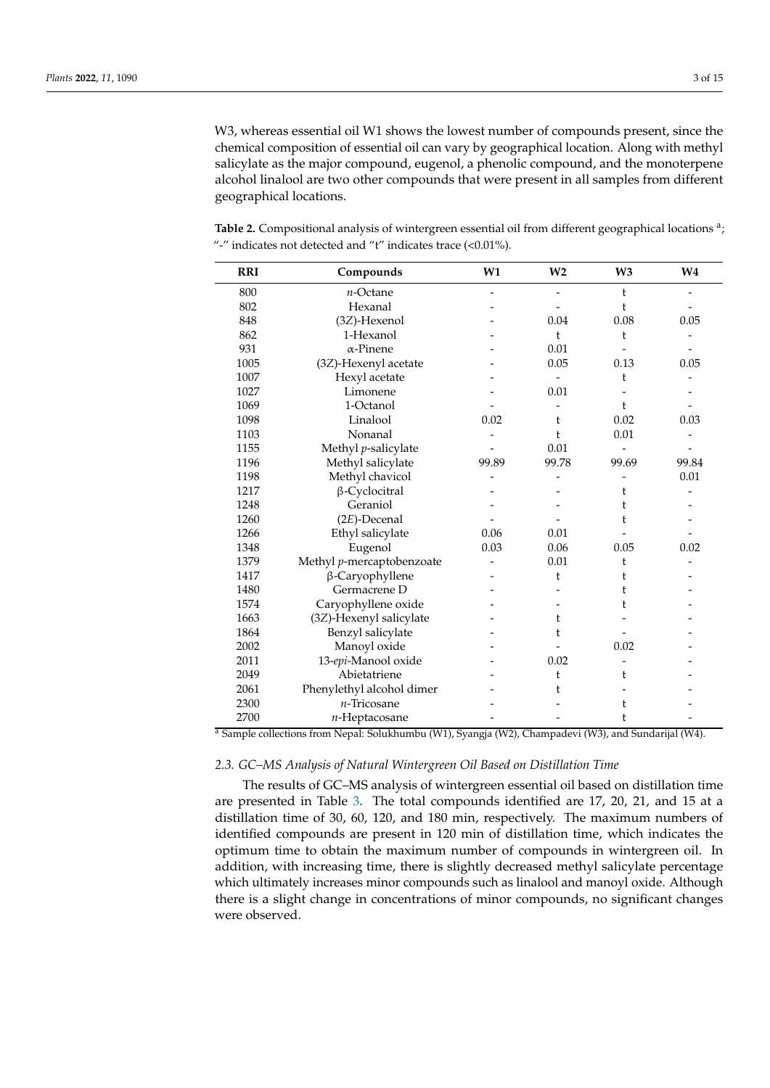W3, whereas essential oil W1 shows the lowest number of compounds present, since the chemical composition of essential oil can vary by geographical location. Along with methyl salicylate as the major compound, eugenol, a phenolic compound, and the monoterpene alcohol linalool are two other compounds that were present in all samples from different geographical locations.

<span id="page-2-0"></span>Table 2. Compositional analysis of wintergreen essential oil from different geographical locations<sup>a</sup>; "-" indicates not detected and "t" indicates trace (<0.01%).

| <b>RRI</b> | Compounds                 | W1    | W <sub>2</sub> | W <sub>3</sub> | W <sub>4</sub> |
|------------|---------------------------|-------|----------------|----------------|----------------|
| 800        | $n$ -Octane               |       |                | t              |                |
| 802        | Hexanal                   |       |                | t              |                |
| 848        | (3Z)-Hexenol              |       | 0.04           | 0.08           | 0.05           |
| 862        | 1-Hexanol                 |       | t              | t              |                |
| 931        | $\alpha$ -Pinene          |       | 0.01           |                |                |
| 1005       | (3Z)-Hexenyl acetate      |       | 0.05           | 0.13           | 0.05           |
| 1007       | Hexyl acetate             |       |                | t              |                |
| 1027       | Limonene                  |       | 0.01           |                |                |
| 1069       | 1-Octanol                 |       |                | t              |                |
| 1098       | Linalool                  | 0.02  | t              | 0.02           | 0.03           |
| 1103       | Nonanal                   |       | t              | 0.01           |                |
| 1155       | Methyl p-salicylate       |       | 0.01           |                |                |
| 1196       | Methyl salicylate         | 99.89 | 99.78          | 99.69          | 99.84          |
| 1198       | Methyl chavicol           |       |                |                | 0.01           |
| 1217       | β-Cyclocitral             |       |                | t              |                |
| 1248       | Geraniol                  |       |                | t              |                |
| 1260       | $(2E)$ -Decenal           |       |                | t              |                |
| 1266       | Ethyl salicylate          | 0.06  | 0.01           |                |                |
| 1348       | Eugenol                   | 0.03  | 0.06           | 0.05           | 0.02           |
| 1379       | Methyl p-mercaptobenzoate |       | 0.01           | t              |                |
| 1417       | β-Caryophyllene           |       | t              | t              |                |
| 1480       | Germacrene D              |       |                | t              |                |
| 1574       | Caryophyllene oxide       |       |                | t              |                |
| 1663       | (3Z)-Hexenyl salicylate   |       | t              |                |                |
| 1864       | Benzyl salicylate         |       | t              |                |                |
| 2002       | Manoyl oxide              |       |                | 0.02           |                |
| 2011       | 13-epi-Manool oxide       |       | 0.02           |                |                |
| 2049       | Abietatriene              |       | t              | t              |                |
| 2061       | Phenylethyl alcohol dimer |       | t              |                |                |
| 2300       | $n$ -Tricosane            |       |                | t              |                |
| 2700       | $n$ -Heptacosane          |       |                | t              |                |

<sup>a</sup> Sample collections from Nepal: Solukhumbu (W1), Syangja (W2), Champadevi (W3), and Sundarijal (W4).

#### *2.3. GC–MS Analysis of Natural Wintergreen Oil Based on Distillation Time*

The results of GC–MS analysis of wintergreen essential oil based on distillation time are presented in Table [3.](#page-3-0) The total compounds identified are 17, 20, 21, and 15 at a distillation time of 30, 60, 120, and 180 min, respectively. The maximum numbers of identified compounds are present in 120 min of distillation time, which indicates the optimum time to obtain the maximum number of compounds in wintergreen oil. In addition, with increasing time, there is slightly decreased methyl salicylate percentage which ultimately increases minor compounds such as linalool and manoyl oxide. Although there is a slight change in concentrations of minor compounds, no significant changes were observed.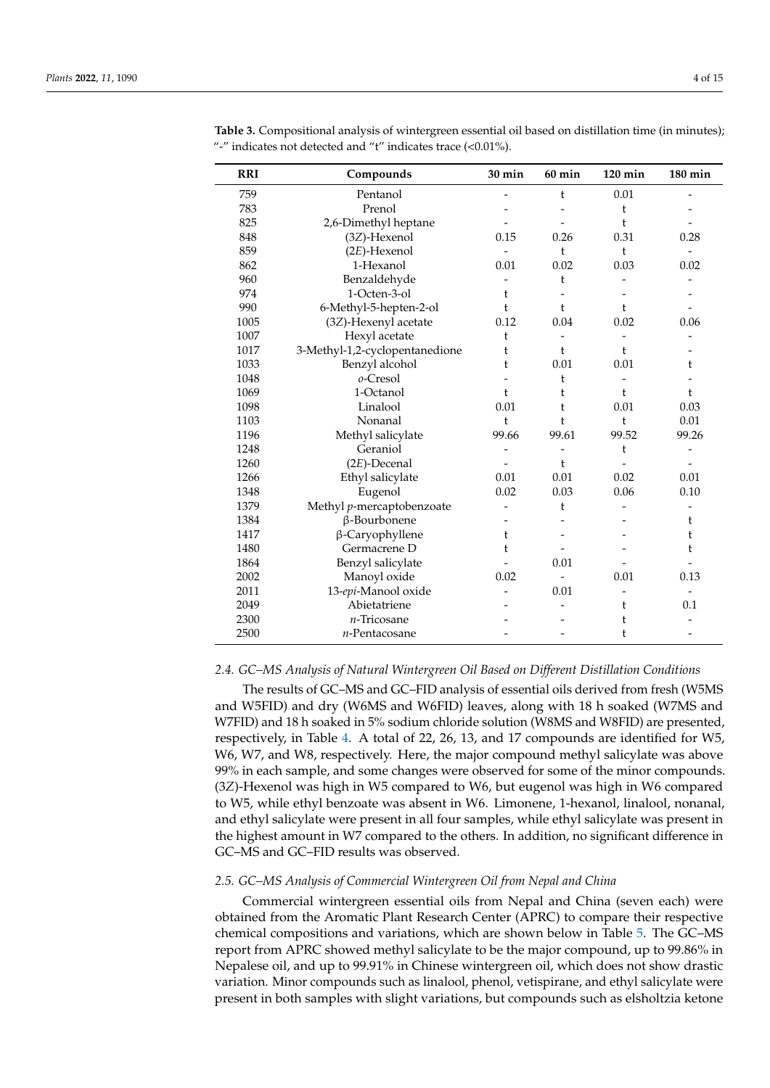| <b>RRI</b> | Compounds                      | 30 min                   | $60$ min                 | $120$ min | 180 min                  |
|------------|--------------------------------|--------------------------|--------------------------|-----------|--------------------------|
| 759        | Pentanol                       | $\overline{\phantom{0}}$ | t                        | 0.01      |                          |
| 783        | Prenol                         |                          |                          | t         |                          |
| 825        | 2,6-Dimethyl heptane           |                          |                          | t         |                          |
| 848        | $(3Z)$ -Hexenol                | 0.15                     | 0.26                     | 0.31      | 0.28                     |
| 859        | $(2E)$ -Hexenol                | $\overline{\phantom{a}}$ | $\mathfrak{t}$           | t         |                          |
| 862        | 1-Hexanol                      | 0.01                     | 0.02                     | 0.03      | 0.02                     |
| 960        | Benzaldehyde                   |                          | t                        |           |                          |
| 974        | 1-Octen-3-ol                   | t                        |                          |           |                          |
| 990        | 6-Methyl-5-hepten-2-ol         | t                        | $\mathbf{t}$             | t         |                          |
| 1005       | (3Z)-Hexenyl acetate           | 0.12                     | 0.04                     | 0.02      | 0.06                     |
| 1007       | Hexyl acetate                  | t                        |                          |           |                          |
| 1017       | 3-Methyl-1,2-cyclopentanedione | t                        | t                        | t         |                          |
| 1033       | Benzyl alcohol                 | t                        | 0.01                     | 0.01      | t                        |
| 1048       | 0-Cresol                       |                          | t                        |           |                          |
| 1069       | 1-Octanol                      | t                        | t                        | t         | t                        |
| 1098       | Linalool                       | 0.01                     | t                        | 0.01      | 0.03                     |
| 1103       | Nonanal                        | t                        | t                        | t         | 0.01                     |
| 1196       | Methyl salicylate              | 99.66                    | 99.61                    | 99.52     | 99.26                    |
| 1248       | Geraniol                       |                          |                          | t         | $\overline{\phantom{0}}$ |
| 1260       | $(2E)$ -Decenal                |                          | t                        |           |                          |
| 1266       | Ethyl salicylate               | 0.01                     | 0.01                     | 0.02      | 0.01                     |
| 1348       | Eugenol                        | 0.02                     | 0.03                     | 0.06      | 0.10                     |
| 1379       | Methyl p-mercaptobenzoate      |                          | t                        |           |                          |
| 1384       | β-Bourbonene                   |                          |                          |           | t                        |
| 1417       | β-Caryophyllene                | t                        |                          |           | t                        |
| 1480       | Germacrene D                   | t                        |                          |           | t                        |
| 1864       | Benzyl salicylate              |                          | 0.01                     |           |                          |
| 2002       | Manoyl oxide                   | 0.02                     | $\overline{\phantom{0}}$ | 0.01      | 0.13                     |
| 2011       | 13-epi-Manool oxide            |                          | 0.01                     |           |                          |
| 2049       | Abietatriene                   |                          |                          | t         | 0.1                      |
| 2300       | $n$ -Tricosane                 |                          |                          | t         |                          |
| 2500       | $n$ -Pentacosane               |                          |                          | t         |                          |

<span id="page-3-0"></span>**Table 3.** Compositional analysis of wintergreen essential oil based on distillation time (in minutes); "-" indicates not detected and "t" indicates trace (<0.01%).

#### *2.4. GC–MS Analysis of Natural Wintergreen Oil Based on Different Distillation Conditions*

The results of GC–MS and GC–FID analysis of essential oils derived from fresh (W5MS and W5FID) and dry (W6MS and W6FID) leaves, along with 18 h soaked (W7MS and W7FID) and 18 h soaked in 5% sodium chloride solution (W8MS and W8FID) are presented, respectively, in Table [4.](#page-4-0) A total of 22, 26, 13, and 17 compounds are identified for W5, W6, W7, and W8, respectively. Here, the major compound methyl salicylate was above 99% in each sample, and some changes were observed for some of the minor compounds. (3*Z*)-Hexenol was high in W5 compared to W6, but eugenol was high in W6 compared to W5, while ethyl benzoate was absent in W6. Limonene, 1-hexanol, linalool, nonanal, and ethyl salicylate were present in all four samples, while ethyl salicylate was present in the highest amount in W7 compared to the others. In addition, no significant difference in GC–MS and GC–FID results was observed.

### *2.5. GC–MS Analysis of Commercial Wintergreen Oil from Nepal and China*

Commercial wintergreen essential oils from Nepal and China (seven each) were obtained from the Aromatic Plant Research Center (APRC) to compare their respective chemical compositions and variations, which are shown below in Table [5.](#page-5-0) The GC–MS report from APRC showed methyl salicylate to be the major compound, up to 99.86% in Nepalese oil, and up to 99.91% in Chinese wintergreen oil, which does not show drastic variation. Minor compounds such as linalool, phenol, vetispirane, and ethyl salicylate were present in both samples with slight variations, but compounds such as elsholtzia ketone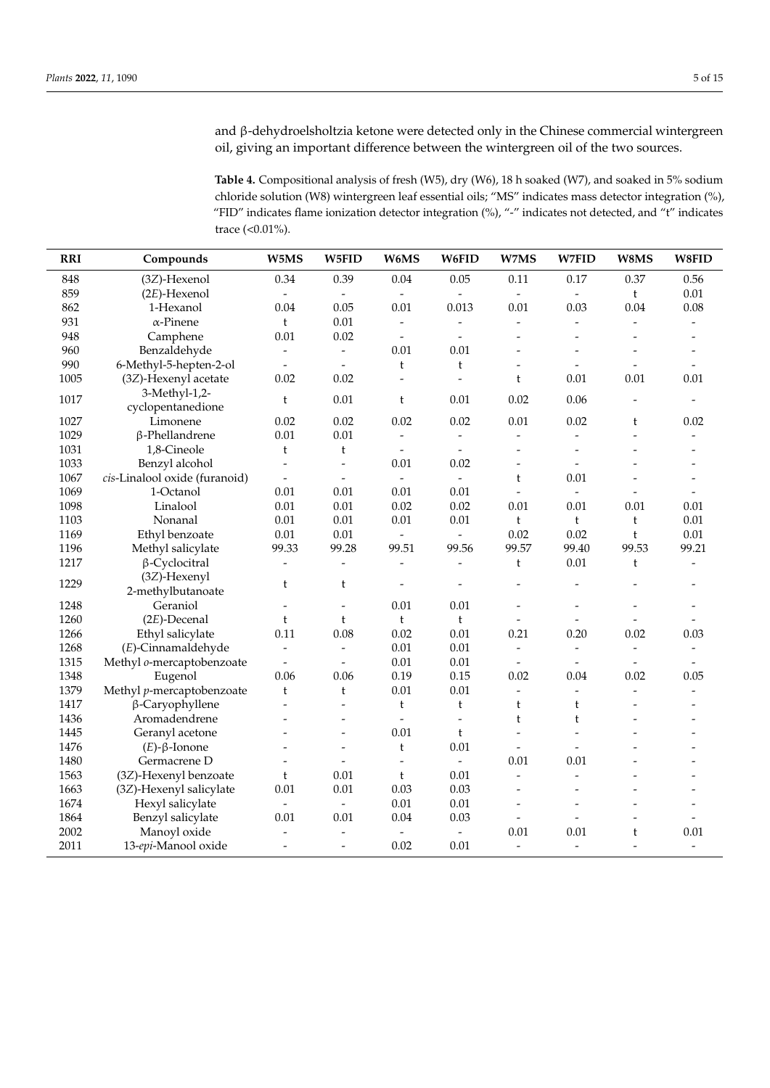and β-dehydroelsholtzia ketone were detected only in the Chinese commercial wintergreen oil, giving an important difference between the wintergreen oil of the two sources.

<span id="page-4-0"></span>**Table 4.** Compositional analysis of fresh (W5), dry (W6), 18 h soaked (W7), and soaked in 5% sodium chloride solution (W8) wintergreen leaf essential oils; "MS" indicates mass detector integration (%), "FID" indicates flame ionization detector integration (%), "-" indicates not detected, and "t" indicates trace (<0.01%).

| <b>RRI</b> | Compounds                     | W5MS                     | W5FID                    | W6MS                     | W6FID                    | W7MS                         | W7FID                    | W8MS                     | W8FID                    |
|------------|-------------------------------|--------------------------|--------------------------|--------------------------|--------------------------|------------------------------|--------------------------|--------------------------|--------------------------|
| 848        | (3Z)-Hexenol                  | 0.34                     | 0.39                     | 0.04                     | 0.05                     | 0.11                         | 0.17                     | 0.37                     | 0.56                     |
| 859        | $(2E)$ -Hexenol               | $\bar{\phantom{a}}$      |                          | $\overline{a}$           |                          | $\blacksquare$               | $\overline{\phantom{0}}$ | t                        | 0.01                     |
| 862        | 1-Hexanol                     | 0.04                     | 0.05                     | 0.01                     | 0.013                    | 0.01                         | 0.03                     | 0.04                     | 0.08                     |
| 931        | $\alpha$ -Pinene              | $\mathfrak t$            | 0.01                     | $\overline{\phantom{a}}$ | $\frac{1}{2}$            | $\overline{a}$               | $\overline{a}$           | $\overline{a}$           | $\overline{\phantom{a}}$ |
| 948        | Camphene                      | 0.01                     | 0.02                     | $\overline{\phantom{a}}$ | $\overline{\phantom{a}}$ | $\overline{a}$               | $\overline{a}$           | $\overline{a}$           | $\overline{a}$           |
| 960        | Benzaldehyde                  | $\overline{\phantom{a}}$ | $\frac{1}{2}$            | 0.01                     | 0.01                     | $\overline{a}$               |                          | $\overline{a}$           | $\overline{a}$           |
| 990        | 6-Methyl-5-hepten-2-ol        | $\overline{\phantom{a}}$ | $\blacksquare$           | $\mathfrak{t}$           | t                        | $\qquad \qquad \blacksquare$ | $\overline{\phantom{a}}$ | $\frac{1}{2}$            | $\overline{\phantom{a}}$ |
| 1005       | (3Z)-Hexenyl acetate          | 0.02                     | 0.02                     | $\overline{a}$           | $\overline{a}$           | t                            | 0.01                     | 0.01                     | 0.01                     |
|            | 3-Methyl-1,2-                 |                          |                          |                          |                          |                              |                          |                          |                          |
| 1017       | cyclopentanedione             | $\mathbf{t}$             | 0.01                     | $\mathbf t$              | 0.01                     | 0.02                         | 0.06                     | $\overline{a}$           | $\overline{\phantom{a}}$ |
| 1027       | Limonene                      | 0.02                     | 0.02                     | 0.02                     | 0.02                     | $0.01\,$                     | 0.02                     | t                        | 0.02                     |
| 1029       | β-Phellandrene                | 0.01                     | 0.01                     | $\frac{1}{2}$            | $\overline{\phantom{a}}$ |                              | $\overline{a}$           | $\overline{a}$           |                          |
| 1031       | 1,8-Cineole                   | $\mathfrak{t}$           | t                        | $\overline{a}$           | $\overline{a}$           | $\overline{a}$               | $\overline{a}$           | $\overline{a}$           |                          |
| 1033       | Benzyl alcohol                | $\overline{a}$           | $\overline{a}$           | 0.01                     | 0.02                     | $\overline{a}$               | $\overline{a}$           | $\overline{a}$           | $\overline{a}$           |
| 1067       | cis-Linalool oxide (furanoid) | $\overline{\phantom{a}}$ | $\overline{\phantom{a}}$ | $\overline{\phantom{a}}$ | $\frac{1}{2}$            | t                            | $0.01\,$                 | $\overline{a}$           | $\overline{\phantom{a}}$ |
| 1069       | 1-Octanol                     | 0.01                     | 0.01                     | 0.01                     | 0.01                     | $\overline{a}$               | $\overline{a}$           | $\overline{a}$           | $\overline{a}$           |
| 1098       | Linalool                      | 0.01                     | 0.01                     | 0.02                     | 0.02                     | 0.01                         | 0.01                     | 0.01                     | 0.01                     |
| 1103       | Nonanal                       | 0.01                     | 0.01                     | 0.01                     | 0.01                     | $\mathfrak t$                | $\mathfrak{t}$           | $\mathfrak t$            | 0.01                     |
| 1169       | Ethyl benzoate                | 0.01                     | 0.01                     | $\overline{\phantom{a}}$ | $\overline{\phantom{a}}$ | 0.02                         | 0.02                     | $\mathfrak t$            | $0.01\,$                 |
| 1196       | Methyl salicylate             | 99.33                    | 99.28                    | 99.51                    | 99.56                    | 99.57                        | 99.40                    | 99.53                    | 99.21                    |
| 1217       | $\beta$ -Cyclocitral          | $\frac{1}{2}$            | $\overline{\phantom{a}}$ | $\frac{1}{2}$            | $\overline{\phantom{a}}$ | t                            | $0.01\,$                 | t                        | $\overline{a}$           |
|            | (3Z)-Hexenyl                  |                          |                          |                          |                          |                              |                          |                          |                          |
| 1229       | 2-methylbutanoate             | t                        | t                        | $\overline{a}$           |                          |                              |                          |                          |                          |
| 1248       | Geraniol                      | $\overline{\phantom{0}}$ | $\overline{a}$           | 0.01                     | 0.01                     | $\overline{a}$               | $\overline{\phantom{0}}$ | $\overline{a}$           | $\overline{\phantom{0}}$ |
| 1260       | $(2E)$ -Decenal               | t                        | t                        | $\mathfrak{t}$           | $\mathfrak{t}$           | $\overline{a}$               | $\overline{a}$           | $\overline{a}$           |                          |
| 1266       | Ethyl salicylate              | 0.11                     | 0.08                     | 0.02                     | 0.01                     | 0.21                         | 0.20                     | 0.02                     | 0.03                     |
| 1268       | (E)-Cinnamaldehyde            | $\overline{\phantom{a}}$ |                          | 0.01                     | 0.01                     | $\overline{a}$               | $\overline{a}$           | $\frac{1}{2}$            | $\overline{\phantom{m}}$ |
| 1315       | Methyl o-mercaptobenzoate     | $\overline{\phantom{a}}$ |                          | 0.01                     | 0.01                     |                              |                          | $\overline{a}$           |                          |
| 1348       | Eugenol                       | 0.06                     | 0.06                     | 0.19                     | 0.15                     | 0.02                         | 0.04                     | 0.02                     | 0.05                     |
| 1379       | Methyl p-mercaptobenzoate     | $\mathbf t$              | $\mathfrak{t}$           | 0.01                     | 0.01                     | $\frac{1}{2}$                | $\overline{a}$           | $\overline{a}$           | $\frac{1}{2}$            |
| 1417       | β-Caryophyllene               | $\overline{\phantom{a}}$ | $\overline{\phantom{a}}$ | $\mathbf t$              | t                        | t                            | t                        | $\overline{a}$           |                          |
| 1436       | Aromadendrene                 |                          | $\overline{a}$           | $\overline{a}$           | $\overline{a}$           | $\mathbf t$                  | $\mathbf t$              | $\overline{a}$           | $\overline{a}$           |
| 1445       | Geranyl acetone               |                          | $\overline{a}$           | 0.01                     | t                        | $\overline{a}$               |                          |                          |                          |
| 1476       | $(E)$ - $\beta$ -Ionone       |                          | $\frac{1}{2}$            | $\mathfrak t$            | 0.01                     | $\overline{a}$               |                          | $\overline{a}$           | $\overline{a}$           |
| 1480       | Germacrene D                  |                          | $\overline{\phantom{a}}$ | $\overline{\phantom{a}}$ | $\overline{\phantom{a}}$ | 0.01                         | 0.01                     |                          |                          |
| 1563       | (3Z)-Hexenyl benzoate         | $\mathfrak{t}$           | 0.01                     | $\mathfrak t$            | 0.01                     | $\overline{a}$               |                          | L,                       |                          |
| 1663       | (3Z)-Hexenyl salicylate       | 0.01                     | 0.01                     | 0.03                     | 0.03                     | $\overline{a}$               | $\overline{a}$           | ٠                        | $\overline{a}$           |
| 1674       | Hexyl salicylate              | $\overline{\phantom{a}}$ | $\overline{\phantom{a}}$ | 0.01                     | 0.01                     | $\overline{a}$               | $\overline{\phantom{0}}$ | $\overline{\phantom{0}}$ | $\overline{\phantom{0}}$ |
| 1864       | Benzyl salicylate             | 0.01                     | 0.01                     | 0.04                     | 0.03                     | $\overline{a}$               |                          |                          |                          |
| 2002       | Manoyl oxide                  | $\overline{\phantom{0}}$ | $\overline{\phantom{a}}$ | $\overline{a}$           | $\overline{a}$           | 0.01                         | 0.01                     | t                        | 0.01                     |
| 2011       | 13-epi-Manool oxide           | $\overline{\phantom{a}}$ | $\equiv$                 | 0.02                     | 0.01                     | $\overline{a}$               | $\overline{a}$           | $\overline{a}$           | $\overline{a}$           |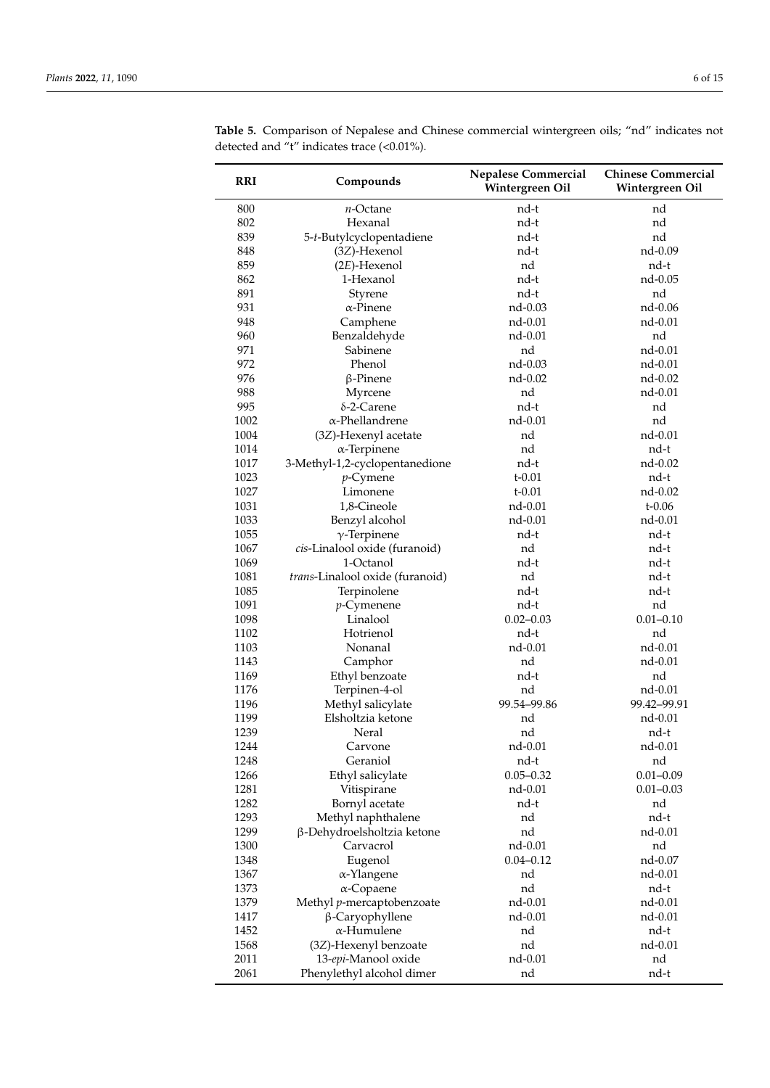| <b>RRI</b> | Compounds                       | <b>Nepalese Commercial</b><br>Wintergreen Oil | <b>Chinese Commercial</b><br>Wintergreen Oil |
|------------|---------------------------------|-----------------------------------------------|----------------------------------------------|
| 800        | $n$ -Octane                     | nd-t                                          | nd                                           |
| 802        | Hexanal                         | nd-t                                          | nd                                           |
| 839        | 5-t-Butylcyclopentadiene        | nd-t                                          | nd                                           |
| 848        | (3Z)-Hexenol                    | nd-t                                          | nd-0.09                                      |
| 859        | $(2E)$ -Hexenol                 | nd                                            | nd-t                                         |
| 862        | 1-Hexanol                       | nd-t                                          | nd-0.05                                      |
| 891        | Styrene                         | nd-t                                          | nd                                           |
| 931        | $\alpha$ -Pinene                | nd-0.03                                       | nd-0.06                                      |
| 948        | Camphene                        | nd-0.01                                       | nd-0.01                                      |
| 960        | Benzaldehyde                    | nd-0.01                                       | nd                                           |
| 971        | Sabinene                        | nd                                            | nd-0.01                                      |
| 972        | Phenol                          | nd-0.03                                       | nd-0.01                                      |
| 976        | $\beta$ -Pinene                 | nd-0.02                                       | nd-0.02                                      |
| 988        | Myrcene                         | nd                                            | nd-0.01                                      |
| 995        | $\delta$ -2-Carene              | nd-t                                          | nd                                           |
| 1002       | $\alpha$ -Phellandrene          | nd-0.01                                       | nd                                           |
| 1004       | (3Z)-Hexenyl acetate            | nd                                            | nd-0.01                                      |
| 1014       | $\alpha$ -Terpinene             | nd                                            | nd-t                                         |
| 1017       | 3-Methyl-1,2-cyclopentanedione  | nd-t                                          | nd-0.02                                      |
| 1023       | $p$ -Cymene                     | $t - 0.01$                                    | nd-t                                         |
| 1027       | Limonene                        | $t - 0.01$                                    | nd-0.02                                      |
| 1031       | 1,8-Cineole                     | nd-0.01                                       | $t - 0.06$                                   |
| 1033       | Benzyl alcohol                  | nd-0.01                                       | nd-0.01                                      |
| 1055       | $\gamma$ -Terpinene             | nd-t                                          | nd-t                                         |
| 1067       | cis-Linalool oxide (furanoid)   | nd                                            | nd-t                                         |
| 1069       | 1-Octanol                       | nd-t                                          | nd-t                                         |
| 1081       | trans-Linalool oxide (furanoid) | nd                                            | nd-t                                         |
| 1085       | Terpinolene                     | nd-t                                          | nd-t                                         |
| 1091       | $p$ -Cymenene                   | nd-t                                          | nd                                           |
| 1098       | Linalool                        | $0.02 - 0.03$                                 | $0.01 - 0.10$                                |
| 1102       | Hotrienol                       | nd-t                                          | nd                                           |
| 1103       | Nonanal                         | nd-0.01                                       | nd-0.01                                      |
| 1143       | Camphor                         | nd                                            | nd-0.01                                      |
| 1169       | Ethyl benzoate                  | nd-t                                          | nd                                           |
| 1176       | Terpinen-4-ol                   | nd                                            | nd-0.01                                      |
| 1196       | Methyl salicylate               | 99.54-99.86                                   | 99.42-99.91                                  |
| 1199       | Elsholtzia ketone               | nd                                            | nd-0.01                                      |
| 1239       | Neral                           | nd                                            | nd-t                                         |
| 1244       | Carvone                         | nd-0.01                                       | nd-0.01                                      |
| 1248       | Geraniol                        | nd-t                                          | nd                                           |
| 1266       | Ethyl salicylate                | $0.05 - 0.32$                                 | $0.01 - 0.09$                                |
| 1281       | Vitispirane                     | nd-0.01                                       | $0.01 - 0.03$                                |
| 1282       | Bornyl acetate                  | nd-t                                          | nd                                           |
| 1293       | Methyl naphthalene              | nd                                            | nd-t                                         |
| 1299       | β-Dehydroelsholtzia ketone      | nd                                            | nd-0.01                                      |
| 1300       | Carvacrol                       | nd-0.01                                       | nd                                           |
| 1348       | Eugenol                         | $0.04 - 0.12$                                 | nd-0.07                                      |
| 1367       | α-Ylangene                      | nd                                            | nd-0.01                                      |
| 1373       | $\alpha$ -Copaene               | nd                                            | nd-t                                         |
| 1379       | Methyl p-mercaptobenzoate       | nd-0.01                                       | nd-0.01                                      |
| 1417       | β-Caryophyllene                 | nd-0.01                                       | nd-0.01                                      |
| 1452       | $\alpha$ -Humulene              | nd                                            | nd-t                                         |
| 1568       | (3Z)-Hexenyl benzoate           | nd                                            | nd-0.01                                      |
| 2011       | 13-epi-Manool oxide             | nd-0.01                                       | nd                                           |
| 2061       | Phenylethyl alcohol dimer       | nd                                            | nd-t                                         |

<span id="page-5-0"></span>**Table 5.** Comparison of Nepalese and Chinese commercial wintergreen oils; "nd" indicates not detected and "t" indicates trace (<0.01%).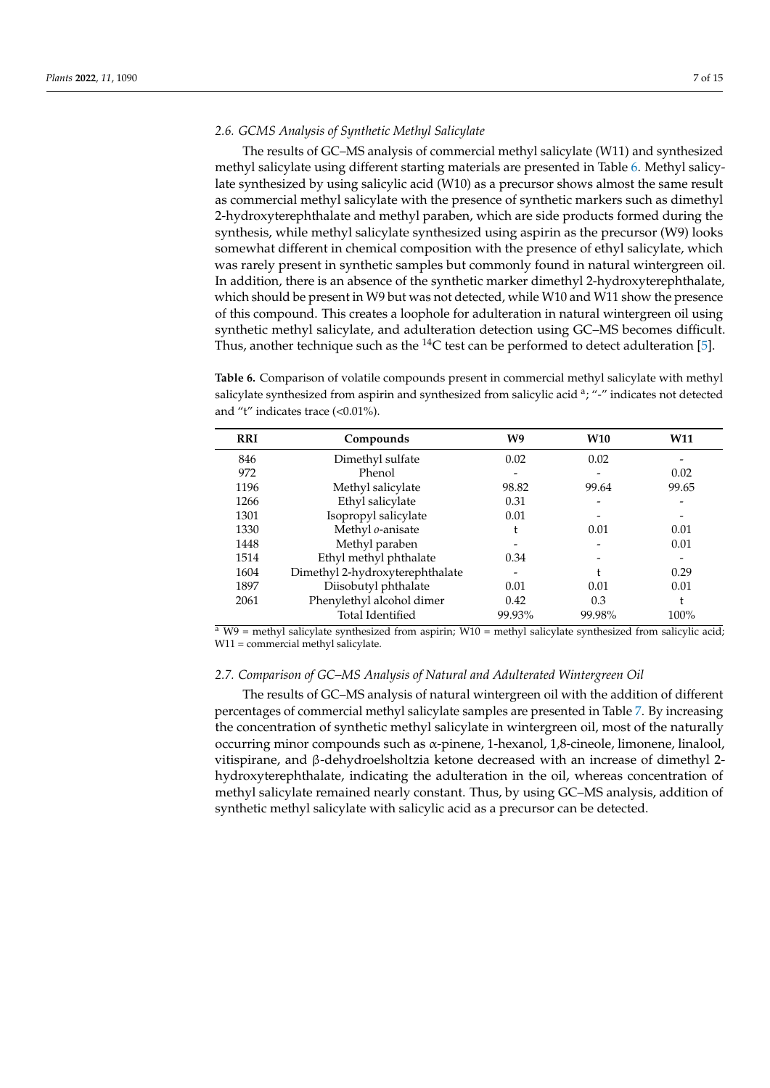#### *2.6. GCMS Analysis of Synthetic Methyl Salicylate*

The results of GC–MS analysis of commercial methyl salicylate (W11) and synthesized methyl salicylate using different starting materials are presented in Table [6.](#page-6-0) Methyl salicylate synthesized by using salicylic acid (W10) as a precursor shows almost the same result as commercial methyl salicylate with the presence of synthetic markers such as dimethyl 2-hydroxyterephthalate and methyl paraben, which are side products formed during the synthesis, while methyl salicylate synthesized using aspirin as the precursor (W9) looks somewhat different in chemical composition with the presence of ethyl salicylate, which was rarely present in synthetic samples but commonly found in natural wintergreen oil. In addition, there is an absence of the synthetic marker dimethyl 2-hydroxyterephthalate, which should be present in W9 but was not detected, while W10 and W11 show the presence of this compound. This creates a loophole for adulteration in natural wintergreen oil using synthetic methyl salicylate, and adulteration detection using GC–MS becomes difficult. Thus, another technique such as the  $^{14}C$  test can be performed to detect adulteration [\[5\]](#page-13-3).

<span id="page-6-0"></span>**Table 6.** Comparison of volatile compounds present in commercial methyl salicylate with methyl salicylate synthesized from aspirin and synthesized from salicylic acid <sup>a</sup>; "-" indicates not detected and "t" indicates trace (<0.01%).

| <b>RRI</b> | Compounds                       | W9     | <b>W10</b> | <b>W11</b> |
|------------|---------------------------------|--------|------------|------------|
| 846        | Dimethyl sulfate                | 0.02   | 0.02       |            |
| 972        | Phenol                          |        |            | 0.02       |
| 1196       | Methyl salicylate               | 98.82  | 99.64      | 99.65      |
| 1266       | Ethyl salicylate                | 0.31   |            |            |
| 1301       | Isopropyl salicylate            | 0.01   |            |            |
| 1330       | Methyl o-anisate                |        | 0.01       | 0.01       |
| 1448       | Methyl paraben                  |        |            | 0.01       |
| 1514       | Ethyl methyl phthalate          | 0.34   |            |            |
| 1604       | Dimethyl 2-hydroxyterephthalate |        |            | 0.29       |
| 1897       | Diisobutyl phthalate            | 0.01   | 0.01       | 0.01       |
| 2061       | Phenylethyl alcohol dimer       | 0.42   | 0.3        | t          |
|            | <b>Total Identified</b>         | 99.93% | 99.98%     | 100%       |

 $\frac{a}{a}$  W9 = methyl salicylate synthesized from aspirin; W10 = methyl salicylate synthesized from salicylic acid; W11 = commercial methyl salicylate.

#### *2.7. Comparison of GC–MS Analysis of Natural and Adulterated Wintergreen Oil*

The results of GC–MS analysis of natural wintergreen oil with the addition of different percentages of commercial methyl salicylate samples are presented in Table [7.](#page-7-0) By increasing the concentration of synthetic methyl salicylate in wintergreen oil, most of the naturally occurring minor compounds such as α-pinene, 1-hexanol, 1,8-cineole, limonene, linalool, vitispirane, and β-dehydroelsholtzia ketone decreased with an increase of dimethyl 2 hydroxyterephthalate, indicating the adulteration in the oil, whereas concentration of methyl salicylate remained nearly constant. Thus, by using GC–MS analysis, addition of synthetic methyl salicylate with salicylic acid as a precursor can be detected.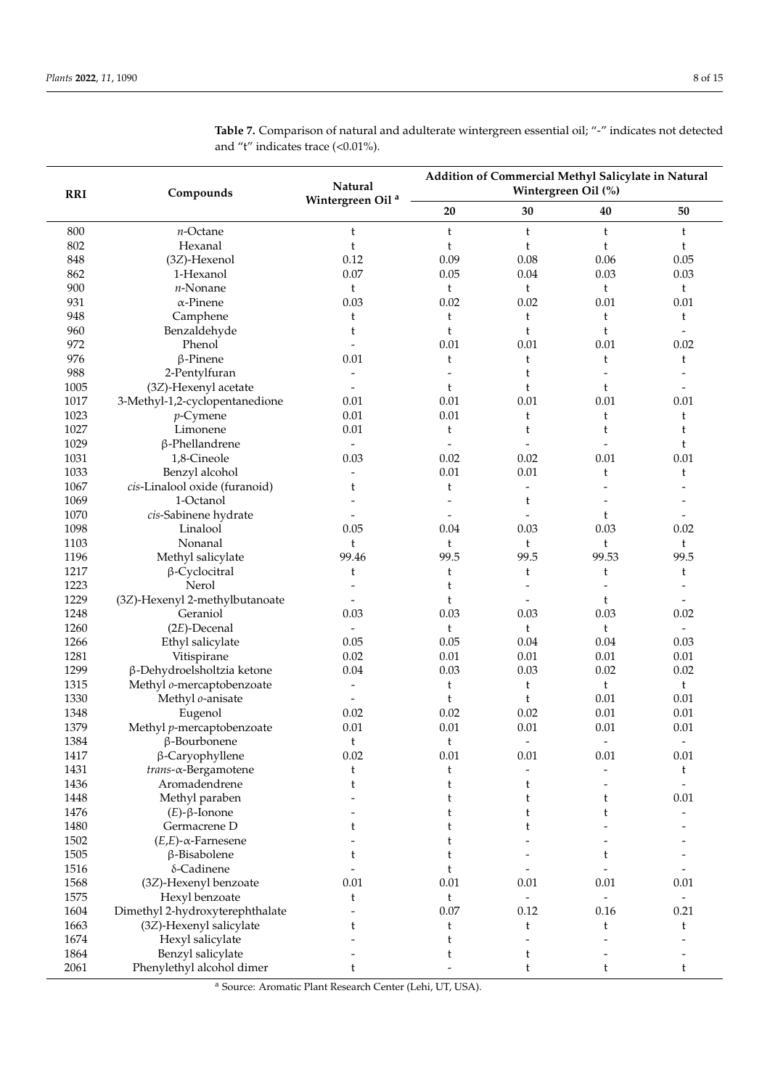| <b>RRI</b> | Compounds                       | Natural                      | Addition of Commercial Methyl Salicylate in Natural<br>Wintergreen Oil (%) |                          |                          |                          |
|------------|---------------------------------|------------------------------|----------------------------------------------------------------------------|--------------------------|--------------------------|--------------------------|
|            |                                 | Wintergreen Oil <sup>a</sup> | 20                                                                         | 30                       | 40                       | 50                       |
| 800        | $n$ -Octane                     | t                            | t                                                                          | t                        | t                        | t                        |
| 802        | Hexanal                         | t                            | t                                                                          | t                        | t                        | t                        |
| 848        | (3Z)-Hexenol                    | 0.12                         | 0.09                                                                       | 0.08                     | 0.06                     | 0.05                     |
| 862        | 1-Hexanol                       | 0.07                         | 0.05                                                                       | 0.04                     | 0.03                     | 0.03                     |
| 900        | $n$ -Nonane                     | t                            | t                                                                          | t                        | t                        | t                        |
| 931        | $\alpha$ -Pinene                | 0.03                         | 0.02                                                                       | 0.02                     | 0.01                     | 0.01                     |
| 948        | Camphene                        | t                            | t                                                                          | $\mathfrak t$            | t                        | t                        |
| 960        | Benzaldehyde                    | t                            | t                                                                          | t                        | t                        |                          |
| 972        | Phenol                          | $\overline{a}$               | 0.01                                                                       | 0.01                     | 0.01                     | 0.02                     |
| 976        | $\beta$ -Pinene                 | 0.01                         | t                                                                          | t                        | t                        | t                        |
| 988        | 2-Pentylfuran                   |                              |                                                                            | t                        |                          |                          |
| 1005       | (3Z)-Hexenyl acetate            | $\overline{\phantom{a}}$     | t                                                                          | t                        | t                        |                          |
| 1017       | 3-Methyl-1,2-cyclopentanedione  | 0.01                         | 0.01                                                                       | 0.01                     | 0.01                     | 0.01                     |
| 1023       | $p$ -Cymene                     | 0.01                         | 0.01                                                                       | t                        | t                        | t                        |
| 1027       | Limonene                        | 0.01                         | t                                                                          | t                        | t                        | t                        |
| 1029       | $\beta$ -Phellandrene           | $\overline{\phantom{a}}$     |                                                                            | $\overline{a}$           |                          | t                        |
| 1031       | 1,8-Cineole                     | 0.03                         | 0.02                                                                       | 0.02                     | 0.01                     | 0.01                     |
| 1033       | Benzyl alcohol                  | $\overline{\phantom{a}}$     | $0.01\,$                                                                   | 0.01                     | t                        | t                        |
| 1067       | cis-Linalool oxide (furanoid)   | t                            | t                                                                          | $\overline{\phantom{a}}$ |                          |                          |
| 1069       | 1-Octanol                       |                              |                                                                            | t                        |                          |                          |
| 1070       | cis-Sabinene hydrate            |                              |                                                                            |                          | t                        |                          |
| 1098       | Linalool                        | 0.05                         | 0.04                                                                       | 0.03                     | 0.03                     | 0.02                     |
| 1103       | Nonanal                         | t                            | t                                                                          | t                        | t                        | t                        |
| 1196       | Methyl salicylate               | 99.46                        | 99.5                                                                       | 99.5                     | 99.53                    | 99.5                     |
| 1217       | $\beta$ -Cyclocitral            | t                            | t                                                                          | t                        | t                        | t                        |
| 1223       | Nerol                           |                              | t                                                                          | $\overline{a}$           |                          |                          |
| 1229       | (3Z)-Hexenyl 2-methylbutanoate  |                              | t                                                                          |                          | t                        |                          |
| 1248       | Geraniol                        | 0.03                         | 0.03                                                                       | 0.03                     | 0.03                     | 0.02                     |
| 1260       | $(2E)$ -Decenal                 |                              | t                                                                          | $\mathfrak t$            | t                        |                          |
| 1266       | Ethyl salicylate                | 0.05                         | 0.05                                                                       | 0.04                     | 0.04                     | 0.03                     |
| 1281       | Vitispirane                     | 0.02                         | 0.01                                                                       | 0.01                     | 0.01                     | 0.01                     |
| 1299       | β-Dehydroelsholtzia ketone      | 0.04                         | 0.03                                                                       | 0.03                     | 0.02                     | 0.02                     |
| 1315       | Methyl o-mercaptobenzoate       | $\overline{\phantom{a}}$     | t                                                                          | t                        | t                        | t                        |
| 1330       | Methyl o-anisate                | $\blacksquare$               | t                                                                          | t                        | 0.01                     | 0.01                     |
| 1348       | Eugenol                         | 0.02                         | 0.02                                                                       | 0.02                     | 0.01                     | 0.01                     |
| 1379       | Methyl p-mercaptobenzoate       | 0.01                         | 0.01                                                                       | 0.01                     | 0.01                     | 0.01                     |
| 1384       | β-Bourbonene                    | t                            | t                                                                          | $\overline{\phantom{a}}$ | $\overline{\phantom{a}}$ | $\overline{\phantom{a}}$ |
| 1417       | β-Caryophyllene                 | 0.02                         | 0.01                                                                       | 0.01                     | 0.01                     | $0.01\,$                 |
| 1431       | $trans-\alpha$ -Bergamotene     | t                            | t                                                                          |                          |                          | t                        |
| 1436       | Aromadendrene                   | t                            | t                                                                          | t                        |                          |                          |
| 1448       | Methyl paraben                  |                              | t                                                                          | t                        | t                        | 0.01                     |
| 1476       | $(E)$ - $\beta$ -Ionone         |                              | t                                                                          | t                        | t                        |                          |
| 1480       | Germacrene D                    | t                            | t                                                                          | t                        |                          |                          |
| 1502       | $(E,E)$ - $\alpha$ -Farnesene   |                              | t                                                                          |                          |                          |                          |
| 1505       | β-Bisabolene                    | t                            | t                                                                          |                          | t                        |                          |
| 1516       | δ-Cadinene                      |                              | t                                                                          |                          |                          |                          |
| 1568       | (3Z)-Hexenyl benzoate           | 0.01                         | $0.01\,$                                                                   | 0.01                     | 0.01                     | $0.01\,$                 |
| 1575       | Hexyl benzoate                  | t                            | t                                                                          | $\blacksquare$           | $\blacksquare$           | $\overline{\phantom{0}}$ |
| 1604       | Dimethyl 2-hydroxyterephthalate |                              | 0.07                                                                       | 0.12                     | 0.16                     | 0.21                     |
| 1663       | (3Z)-Hexenyl salicylate         | t                            | t                                                                          | t                        | t                        | t                        |
| 1674       | Hexyl salicylate                |                              | t                                                                          |                          |                          |                          |
| 1864       | Benzyl salicylate               |                              | t                                                                          | t                        |                          |                          |
| 2061       | Phenylethyl alcohol dimer       | t                            |                                                                            | t                        | t                        | t                        |

<span id="page-7-0"></span>**Table 7.** Comparison of natural and adulterate wintergreen essential oil; "-" indicates not detected and "t" indicates trace (<0.01%).

<sup>a</sup> Source: Aromatic Plant Research Center (Lehi, UT, USA).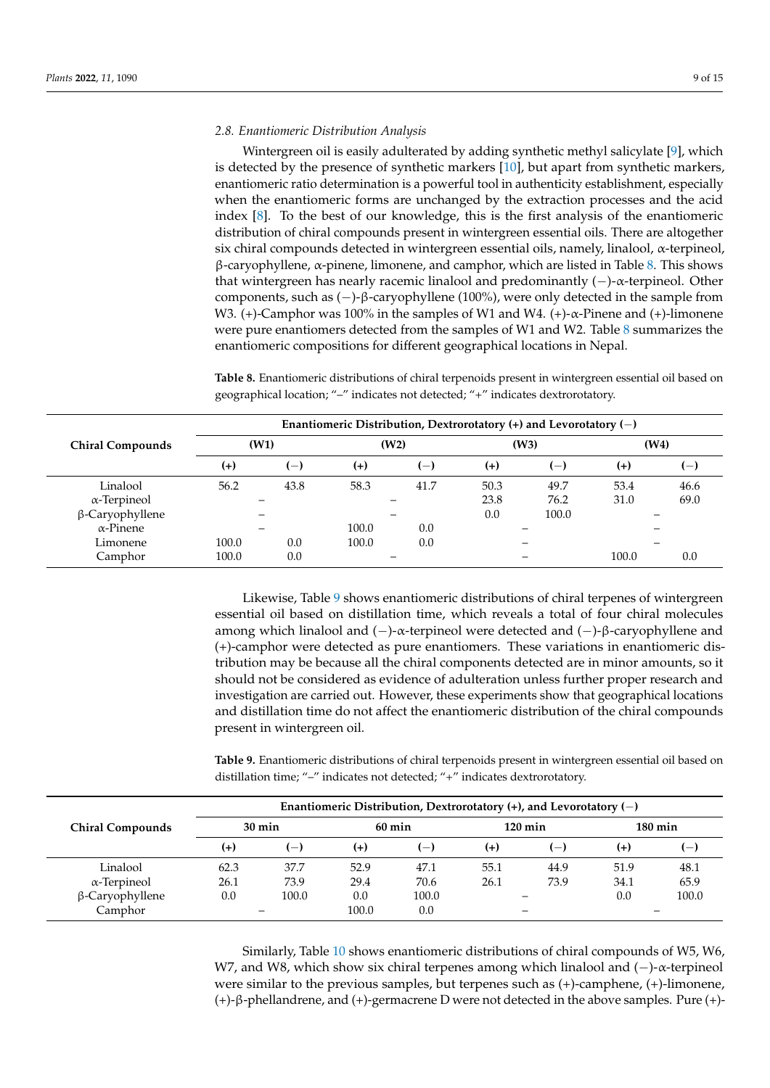#### *2.8. Enantiomeric Distribution Analysis*

Wintergreen oil is easily adulterated by adding synthetic methyl salicylate [\[9\]](#page-13-7), which is detected by the presence of synthetic markers [\[10\]](#page-13-8), but apart from synthetic markers, enantiomeric ratio determination is a powerful tool in authenticity establishment, especially when the enantiomeric forms are unchanged by the extraction processes and the acid index [\[8\]](#page-13-6). To the best of our knowledge, this is the first analysis of the enantiomeric distribution of chiral compounds present in wintergreen essential oils. There are altogether six chiral compounds detected in wintergreen essential oils, namely, linalool, α-terpineol, β-caryophyllene, α-pinene, limonene, and camphor, which are listed in Table [8.](#page-8-0) This shows that wintergreen has nearly racemic linalool and predominantly (−)-α-terpineol. Other components, such as (−)-β-caryophyllene (100%), were only detected in the sample from W3. (+)-Camphor was 100% in the samples of W1 and W4. (+)- $\alpha$ -Pinene and (+)-limonene were pure enantiomers detected from the samples of W1 and W2. Table [8](#page-8-0) summarizes the enantiomeric compositions for different geographical locations in Nepal.

<span id="page-8-0"></span>**Table 8.** Enantiomeric distributions of chiral terpenoids present in wintergreen essential oil based on geographical location; "–" indicates not detected; "+" indicates dextrorotatory.

|                         |          |                          | Enantiomeric Distribution, Dextrorotatory $(+)$ and Levorotatory $(-)$ |       |       |       |       |                |
|-------------------------|----------|--------------------------|------------------------------------------------------------------------|-------|-------|-------|-------|----------------|
| <b>Chiral Compounds</b> | (W1)     |                          | (W2)                                                                   |       |       | (W3)  |       | (W4)           |
|                         | $^{(+)}$ | $\overline{\phantom{0}}$ | $(+)$                                                                  | $(-)$ | $(+)$ | $(-)$ | $(+)$ | $\overline{ }$ |
| Linalool                | 56.2     | 43.8                     | 58.3                                                                   | 41.7  | 50.3  | 49.7  | 53.4  | 46.6           |
| $\alpha$ -Terpineol     |          |                          |                                                                        |       | 23.8  | 76.2  | 31.0  | 69.0           |
| β-Caryophyllene         |          |                          |                                                                        |       | 0.0   | 100.0 |       |                |
| $\alpha$ -Pinene        |          |                          | 100.0                                                                  | 0.0   |       |       |       |                |
| Limonene                | 100.0    | 0.0                      | 100.0                                                                  | 0.0   |       |       |       |                |
| Camphor                 | 100.0    | 0.0                      |                                                                        |       |       |       | 100.0 | 0.0            |

Likewise, Table [9](#page-8-1) shows enantiomeric distributions of chiral terpenes of wintergreen essential oil based on distillation time, which reveals a total of four chiral molecules among which linalool and (−)-α-terpineol were detected and (−)-β-caryophyllene and (+)-camphor were detected as pure enantiomers. These variations in enantiomeric distribution may be because all the chiral components detected are in minor amounts, so it should not be considered as evidence of adulteration unless further proper research and investigation are carried out. However, these experiments show that geographical locations and distillation time do not affect the enantiomeric distribution of the chiral compounds present in wintergreen oil.

<span id="page-8-1"></span>**Table 9.** Enantiomeric distributions of chiral terpenoids present in wintergreen essential oil based on distillation time; "–" indicates not detected; "+" indicates dextrorotatory.

|                         |          |                  |       | Enantiomeric Distribution, Dextrorotatory $(+)$ , and Levorotatory $(-)$ |       |                   |       |                   |
|-------------------------|----------|------------------|-------|--------------------------------------------------------------------------|-------|-------------------|-------|-------------------|
| <b>Chiral Compounds</b> |          | $30 \text{ min}$ |       | $60 \text{ min}$                                                         |       | $120 \text{ min}$ |       | $180 \text{ min}$ |
|                         | $^{(+)}$ | $(-)$            | $(+)$ | $(-)$                                                                    | $(+)$ | $(-)$             | $(+)$ | $(-)$             |
| Linalool                | 62.3     | 37.7             | 52.9  | 47.1                                                                     | 55.1  | 44.9              | 51.9  | 48.1              |
| $\alpha$ -Terpineol     | 26.1     | 73.9             | 29.4  | 70.6                                                                     | 26.1  | 73.9              | 34.1  | 65.9              |
| $\beta$ -Caryophyllene  | 0.0      | 100.0            | 0.0   | 100.0                                                                    |       |                   | 0.0   | 100.0             |
| Camphor                 |          |                  | 100.0 | 0.0                                                                      |       |                   |       |                   |

Similarly, Table [10](#page-9-0) shows enantiomeric distributions of chiral compounds of W5, W6, W7, and W8, which show six chiral terpenes among which linalool and (−)-α-terpineol were similar to the previous samples, but terpenes such as (+)-camphene, (+)-limonene, (+)-β-phellandrene, and (+)-germacrene D were not detected in the above samples. Pure (+)-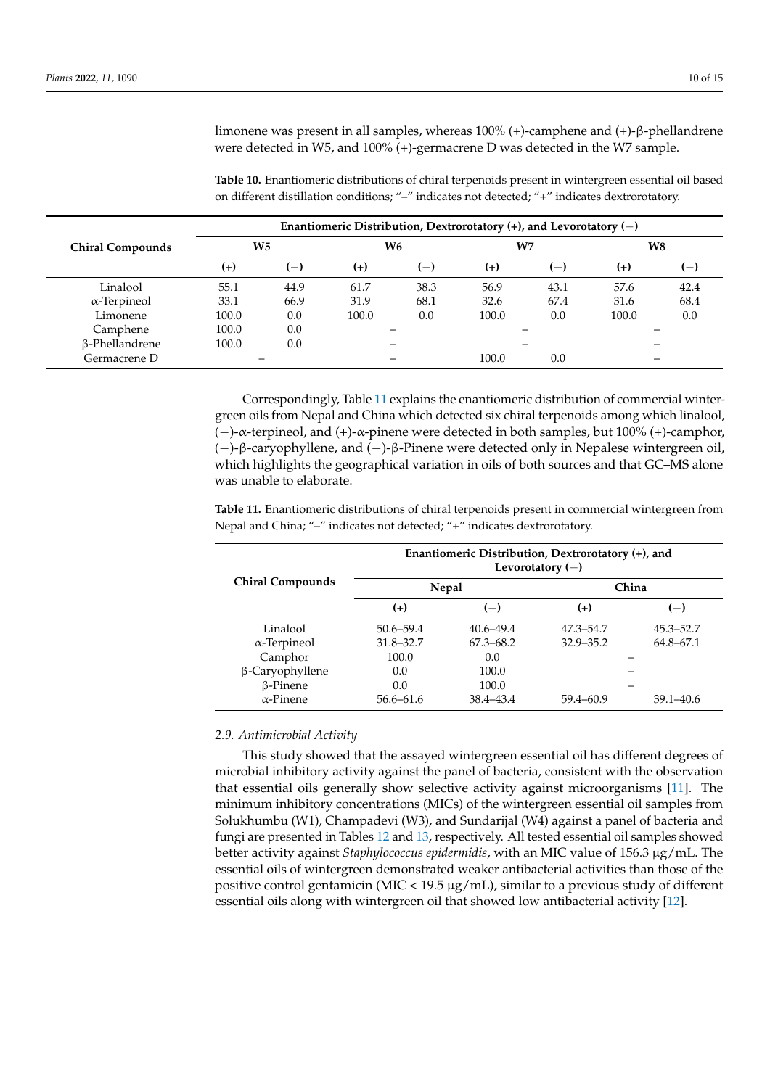limonene was present in all samples, whereas 100% (+)-camphene and (+)-β-phellandrene were detected in W5, and 100% (+)-germacrene D was detected in the W7 sample.

<span id="page-9-0"></span>**Table 10.** Enantiomeric distributions of chiral terpenoids present in wintergreen essential oil based on different distillation conditions; "–" indicates not detected; "+" indicates dextrorotatory.

|                         | Enantiomeric Distribution, Dextrorotatory $(+)$ , and Levorotatory $(-)$ |        |       |       |       |                    |       |                    |
|-------------------------|--------------------------------------------------------------------------|--------|-------|-------|-------|--------------------|-------|--------------------|
| <b>Chiral Compounds</b> | <b>W5</b>                                                                |        |       | W6    | W7    |                    |       | W8                 |
|                         | $^{(+)}$                                                                 | $(-1)$ | $(+)$ | $(-)$ | $(+)$ | $\left  - \right $ | $(+)$ | $\left  - \right $ |
| Linalool                | 55.1                                                                     | 44.9   | 61.7  | 38.3  | 56.9  | 43.1               | 57.6  | 42.4               |
| $\alpha$ -Terpineol     | 33.1                                                                     | 66.9   | 31.9  | 68.1  | 32.6  | 67.4               | 31.6  | 68.4               |
| Limonene                | 100.0                                                                    | 0.0    | 100.0 | 0.0   | 100.0 | 0.0                | 100.0 | 0.0                |
| Camphene                | 100.0                                                                    | 0.0    |       |       |       |                    |       |                    |
| β-Phellandrene          | 100.0                                                                    | 0.0    |       |       |       |                    |       |                    |
| Germacrene D            |                                                                          |        |       |       | 100.0 | 0.0                |       |                    |

Correspondingly, Table [11](#page-9-1) explains the enantiomeric distribution of commercial wintergreen oils from Nepal and China which detected six chiral terpenoids among which linalool, (−)-α-terpineol, and (+)-α-pinene were detected in both samples, but 100% (+)-camphor, (−)-β-caryophyllene, and (−)-β-Pinene were detected only in Nepalese wintergreen oil, which highlights the geographical variation in oils of both sources and that GC–MS alone was unable to elaborate.

<span id="page-9-1"></span>**Table 11.** Enantiomeric distributions of chiral terpenoids present in commercial wintergreen from Nepal and China; "–" indicates not detected; "+" indicates dextrorotatory.

|                         |               |               | Enantiomeric Distribution, Dextrorotatory $(+)$ , and<br>Levorotatory $(-)$ |               |
|-------------------------|---------------|---------------|-----------------------------------------------------------------------------|---------------|
| <b>Chiral Compounds</b> |               | Nepal         |                                                                             | China         |
|                         | $(+)$         | $(-)$         | $(+)$                                                                       | $(-)$         |
| Linalool                | $50.6 - 59.4$ | $40.6 - 49.4$ | 47.3–54.7                                                                   | 45.3–52.7     |
| $\alpha$ -Terpineol     | $31.8 - 32.7$ | $67.3 - 68.2$ | $32.9 - 35.2$                                                               | 64.8–67.1     |
| Camphor                 | 100.0         | 0.0           |                                                                             |               |
| $\beta$ -Caryophyllene  | 0.0           | 100.0         |                                                                             |               |
| $\beta$ -Pinene         | 0.0           | 100.0         |                                                                             |               |
| $\alpha$ -Pinene        | $56.6 - 61.6$ | 38.4-43.4     | 59.4–60.9                                                                   | $39.1 - 40.6$ |

#### *2.9. Antimicrobial Activity*

This study showed that the assayed wintergreen essential oil has different degrees of microbial inhibitory activity against the panel of bacteria, consistent with the observation that essential oils generally show selective activity against microorganisms [\[11\]](#page-13-9). The minimum inhibitory concentrations (MICs) of the wintergreen essential oil samples from Solukhumbu (W1), Champadevi (W3), and Sundarijal (W4) against a panel of bacteria and fungi are presented in Tables [12](#page-10-0) and [13,](#page-10-1) respectively. All tested essential oil samples showed better activity against *Staphylococcus epidermidis*, with an MIC value of 156.3 µg/mL. The essential oils of wintergreen demonstrated weaker antibacterial activities than those of the positive control gentamicin (MIC < 19.5  $\mu$ g/mL), similar to a previous study of different essential oils along with wintergreen oil that showed low antibacterial activity [\[12\]](#page-13-10).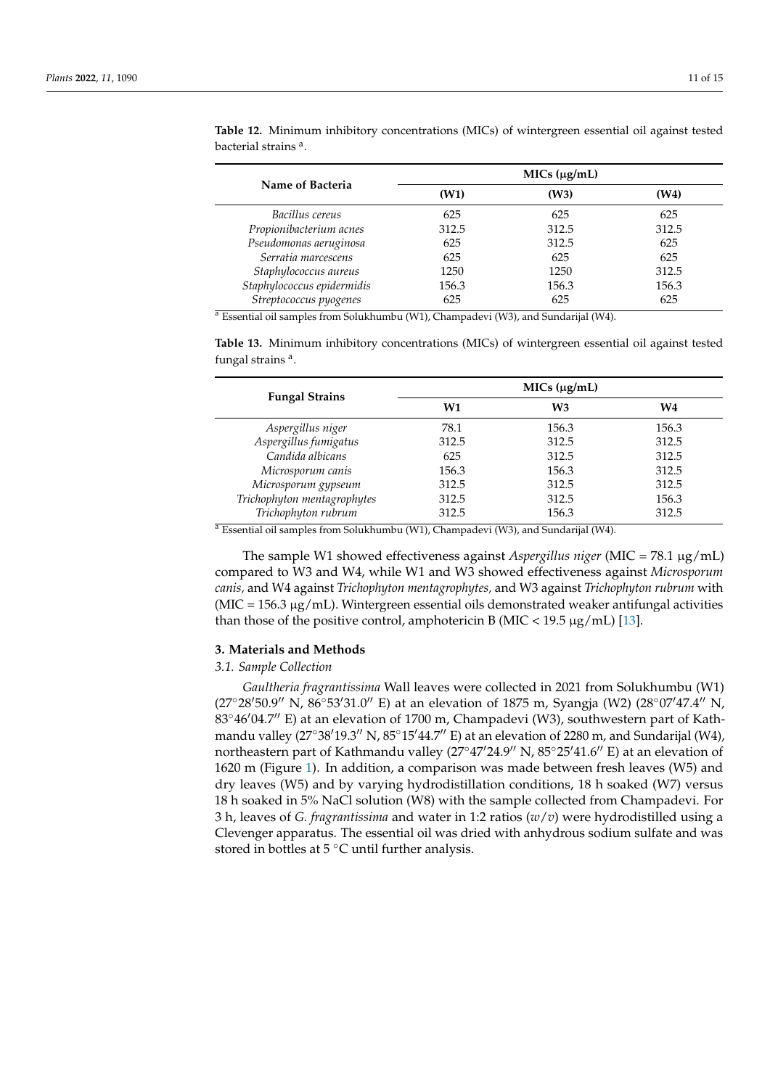|                            |       | MICs (µg/mL) |       |
|----------------------------|-------|--------------|-------|
| Name of Bacteria           | (W1)  | (W3)         | (W4)  |
| Bacillus cereus            | 625   | 625          | 625   |
| Propionibacterium acnes    | 312.5 | 312.5        | 312.5 |
| Pseudomonas aeruginosa     | 625   | 312.5        | 625   |
| Serratia marcescens        | 625   | 625          | 625   |
| Staphylococcus aureus      | 1250  | 1250         | 312.5 |
| Staphylococcus epidermidis | 156.3 | 156.3        | 156.3 |
| Streptococcus pyogenes     | 625   | 625          | 625   |

<span id="page-10-0"></span>**Table 12.** Minimum inhibitory concentrations (MICs) of wintergreen essential oil against tested bacterial strains <sup>a</sup>.

<sup>a</sup> Essential oil samples from Solukhumbu (W1), Champadevi (W3), and Sundarijal (W4).

<span id="page-10-1"></span>**Table 13.** Minimum inhibitory concentrations (MICs) of wintergreen essential oil against tested fungal strains<sup>a</sup>.

| <b>Fungal Strains</b>       | MICs (µg/mL) |                |                |
|-----------------------------|--------------|----------------|----------------|
|                             | W1           | W <sub>3</sub> | W <sub>4</sub> |
| Aspergillus niger           | 78.1         | 156.3          | 156.3          |
| Aspergillus fumigatus       | 312.5        | 312.5          | 312.5          |
| Candida albicans            | 625          | 312.5          | 312.5          |
| Microsporum canis           | 156.3        | 156.3          | 312.5          |
| Microsporum gypseum         | 312.5        | 312.5          | 312.5          |
| Trichophyton mentagrophytes | 312.5        | 312.5          | 156.3          |
| Trichophyton rubrum         | 312.5        | 156.3          | 312.5          |

<sup>a</sup> Essential oil samples from Solukhumbu (W1), Champadevi (W3), and Sundarijal (W4).

The sample W1 showed effectiveness against *Aspergillus niger* (MIC = 78.1 µg/mL) compared to W3 and W4, while W1 and W3 showed effectiveness against *Microsporum canis,* and W4 against *Trichophyton mentagrophytes,* and W3 against *Trichophyton rubrum* with  $(MIC = 156.3 \mu g/mL)$ . Wintergreen essential oils demonstrated weaker antifungal activities than those of the positive control, amphotericin B (MIC <  $19.5 \mu g/mL$ ) [\[13\]](#page-13-11).

#### **3. Materials and Methods**

#### *3.1. Sample Collection*

*Gaultheria fragrantissima* Wall leaves were collected in 2021 from Solukhumbu (W1) (27°28'50.9" N, 86°53'31.0" E) at an elevation of 1875 m, Syangja (W2) (28°07'47.4" N,  $83^{\circ}46'04.7''$  E) at an elevation of 1700 m, Champadevi (W3), southwestern part of Kathmandu valley  $(27°38'19.3'' N, 85°15'44.7'' E)$  at an elevation of 2280 m, and Sundarijal (W4), northeastern part of Kathmandu valley (27°47'24.9" N, 85°25'41.6" E) at an elevation of 1620 m (Figure [1\)](#page-11-0). In addition, a comparison was made between fresh leaves (W5) and dry leaves (W5) and by varying hydrodistillation conditions, 18 h soaked (W7) versus 18 h soaked in 5% NaCl solution (W8) with the sample collected from Champadevi. For 3 h, leaves of *G. fragrantissima* and water in 1:2 ratios (*w*/*v*) were hydrodistilled using a Clevenger apparatus. The essential oil was dried with anhydrous sodium sulfate and was stored in bottles at  $5^{\circ}$ C until further analysis.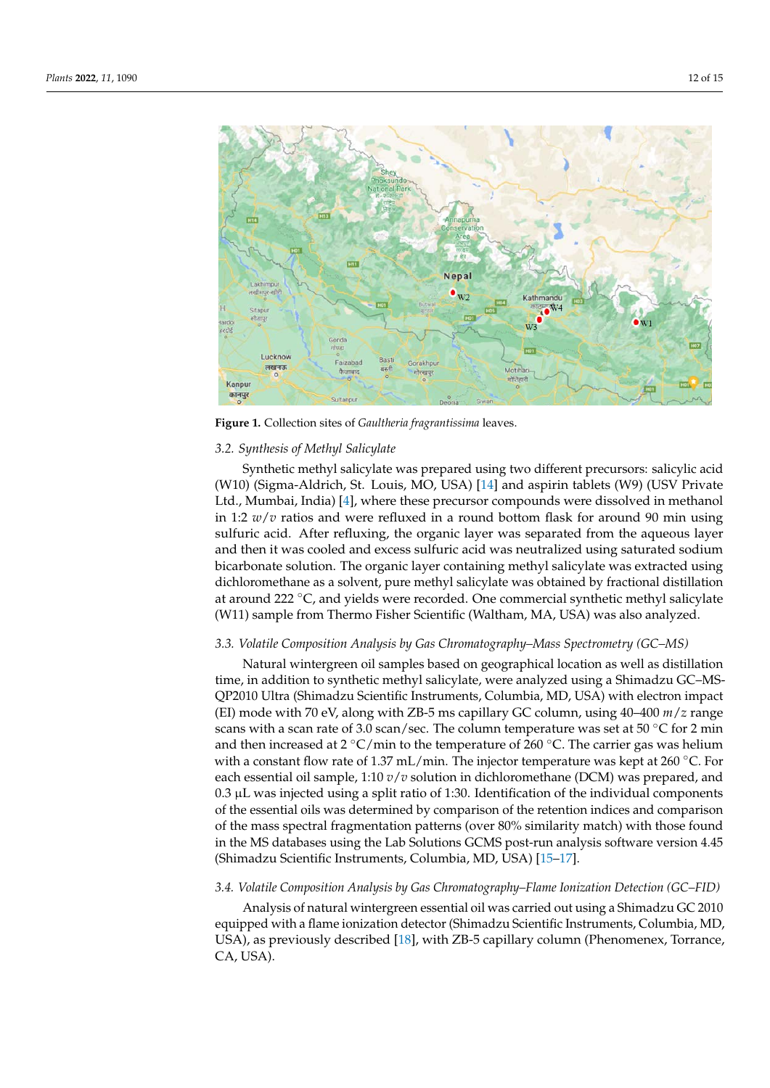<span id="page-11-0"></span>

**Figure 1.** Collection sites of *Gaultheria fragrantissima* leaves. **Figure 1.** Collection sites of *Gaultheria fragrantissima* leaves.

# *3.2. Synthesis of Methyl Salicylate 3.2. Synthesis of Methyl Salicylate*

Synthetic methyl salicylate was prepared using two different precursors: salicylic Synthetic methyl salicylate was prepared using two different precursors: salicylic acid (W10) (Sigma-Aldrich, St. Louis, MO, USA) [\[14\]](#page-14-0) and aspirin tablets (W9) (USV Private Ltd., Mumbai, India) [4], where these precursor compounds were dissolved in methanol Ltd., Mumbai, India) [\[4\]](#page-13-2), where these precursor compounds were dissolved in methanol in 1:2  $w/v$  ratios and were refluxed in a round bottom flask for around 90 min using sulfuric acid. After refluxing, the organic layer was separated from the aqueous layer and then it was cooled and excess sulfuric acid was neutralized using saturated sodium bicarbonate solution. The organic layer containing methyl salicylate was extracted using dichloromethane as a solvent, pure methyl salicylate was obtained by fractional distillation at around 222 ◦C, and yields were recorded. One commercial synthetic methyl salicylate (W11) sample from Thermo Fisher Scientific (Waltham, MA, USA) was also analyzed.

#### *3.3. Volatile Composition Analysis by Gas Chromatography–Mass Spectrometry (GC–MS)*

Natural wintergreen oil samples based on geographical location as well as distillation time, in addition to synthetic methyl salicylate, were analyzed using a Shimadzu GC–MS-QP2010 Ultra (Shimadzu Scientific Instruments, Columbia, MD, USA) with electron impact (EI) mode with 70 eV, along with ZB-5 ms capillary GC column, using 40–400 *m*/*z* range scans with a scan rate of 3.0 scan/sec. The column temperature was set at 50  $\degree$ C for 2 min and then increased at 2 °C/min to the temperature of 260 °C. The carrier gas was helium with a constant flow rate of 1.37 mL/min. The injector temperature was kept at 260  $^{\circ}$ C. For each essential oil sample, 1:10 *v*/*v* solution in dichloromethane (DCM) was prepared, and 0.3 µL was injected using a split ratio of 1:30. Identification of the individual components of the essential oils was determined by comparison of the retention indices and comparison of the mass spectral fragmentation patterns (over 80% similarity match) with those found in the MS databases using the Lab Solutions GCMS post-run analysis software version 4.45 (Shimadzu Scientific Instruments, Columbia, MD, USA) [\[15–](#page-14-1)[17\]](#page-14-2).

#### *3.4. Volatile Composition Analysis by Gas Chromatography–Flame Ionization Detection (GC–FID)*

Analysis of natural wintergreen essential oil was carried out using a Shimadzu GC 2010 equipped with a flame ionization detector (Shimadzu Scientific Instruments, Columbia, MD, USA), as previously described [\[18\]](#page-14-3), with ZB-5 capillary column (Phenomenex, Torrance, CA, USA).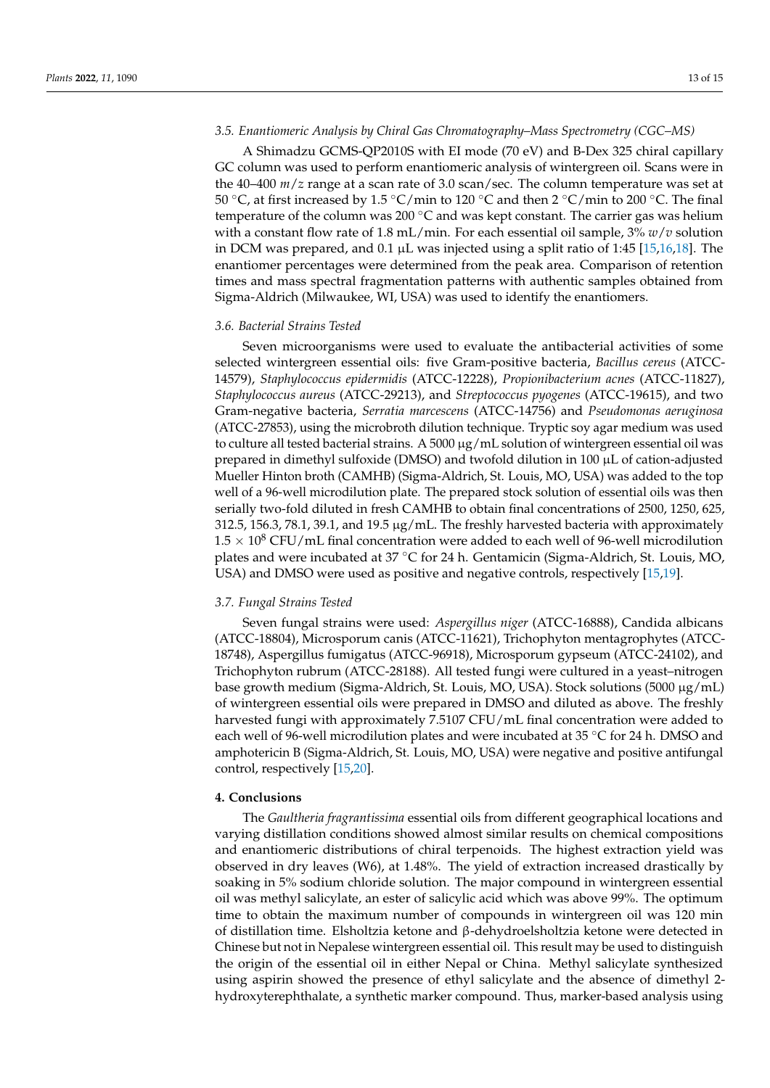#### *3.5. Enantiomeric Analysis by Chiral Gas Chromatography–Mass Spectrometry (CGC–MS)*

A Shimadzu GCMS-QP2010S with EI mode (70 eV) and B-Dex 325 chiral capillary GC column was used to perform enantiomeric analysis of wintergreen oil. Scans were in the 40–400 *m*/*z* range at a scan rate of 3.0 scan/sec. The column temperature was set at 50 °C, at first increased by 1.5 °C/min to 120 °C and then 2 °C/min to 200 °C. The final temperature of the column was 200  $\degree$ C and was kept constant. The carrier gas was helium with a constant flow rate of 1.8 mL/min. For each essential oil sample, 3% *w*/*v* solution in DCM was prepared, and 0.1  $\mu$ L was injected using a split ratio of 1:45 [\[15,](#page-14-1)[16,](#page-14-4)[18\]](#page-14-3). The enantiomer percentages were determined from the peak area. Comparison of retention times and mass spectral fragmentation patterns with authentic samples obtained from Sigma-Aldrich (Milwaukee, WI, USA) was used to identify the enantiomers.

#### *3.6. Bacterial Strains Tested*

Seven microorganisms were used to evaluate the antibacterial activities of some selected wintergreen essential oils: five Gram-positive bacteria, *Bacillus cereus* (ATCC-14579), *Staphylococcus epidermidis* (ATCC-12228), *Propionibacterium acnes* (ATCC-11827), *Staphylococcus aureus* (ATCC-29213), and *Streptococcus pyogenes* (ATCC-19615), and two Gram-negative bacteria, *Serratia marcescens* (ATCC-14756) and *Pseudomonas aeruginosa* (ATCC-27853), using the microbroth dilution technique. Tryptic soy agar medium was used to culture all tested bacterial strains. A 5000  $\mu$ g/mL solution of wintergreen essential oil was prepared in dimethyl sulfoxide (DMSO) and twofold dilution in 100 µL of cation-adjusted Mueller Hinton broth (CAMHB) (Sigma-Aldrich, St. Louis, MO, USA) was added to the top well of a 96-well microdilution plate. The prepared stock solution of essential oils was then serially two-fold diluted in fresh CAMHB to obtain final concentrations of 2500, 1250, 625, 312.5, 156.3, 78.1, 39.1, and 19.5  $\mu$ g/mL. The freshly harvested bacteria with approximately  $1.5 \times 10^8$  CFU/mL final concentration were added to each well of 96-well microdilution plates and were incubated at 37 ◦C for 24 h. Gentamicin (Sigma-Aldrich, St. Louis, MO, USA) and DMSO were used as positive and negative controls, respectively [\[15](#page-14-1)[,19\]](#page-14-5).

#### *3.7. Fungal Strains Tested*

Seven fungal strains were used: *Aspergillus niger* (ATCC-16888), Candida albicans (ATCC-18804), Microsporum canis (ATCC-11621), Trichophyton mentagrophytes (ATCC-18748), Aspergillus fumigatus (ATCC-96918), Microsporum gypseum (ATCC-24102), and Trichophyton rubrum (ATCC-28188). All tested fungi were cultured in a yeast–nitrogen base growth medium (Sigma-Aldrich, St. Louis, MO, USA). Stock solutions (5000 µg/mL) of wintergreen essential oils were prepared in DMSO and diluted as above. The freshly harvested fungi with approximately 7.5107 CFU/mL final concentration were added to each well of 96-well microdilution plates and were incubated at 35 ◦C for 24 h. DMSO and amphotericin B (Sigma-Aldrich, St. Louis, MO, USA) were negative and positive antifungal control, respectively [\[15,](#page-14-1)[20\]](#page-14-6).

#### **4. Conclusions**

The *Gaultheria fragrantissima* essential oils from different geographical locations and varying distillation conditions showed almost similar results on chemical compositions and enantiomeric distributions of chiral terpenoids. The highest extraction yield was observed in dry leaves (W6), at 1.48%. The yield of extraction increased drastically by soaking in 5% sodium chloride solution. The major compound in wintergreen essential oil was methyl salicylate, an ester of salicylic acid which was above 99%. The optimum time to obtain the maximum number of compounds in wintergreen oil was 120 min of distillation time. Elsholtzia ketone and β-dehydroelsholtzia ketone were detected in Chinese but not in Nepalese wintergreen essential oil. This result may be used to distinguish the origin of the essential oil in either Nepal or China. Methyl salicylate synthesized using aspirin showed the presence of ethyl salicylate and the absence of dimethyl 2 hydroxyterephthalate, a synthetic marker compound. Thus, marker-based analysis using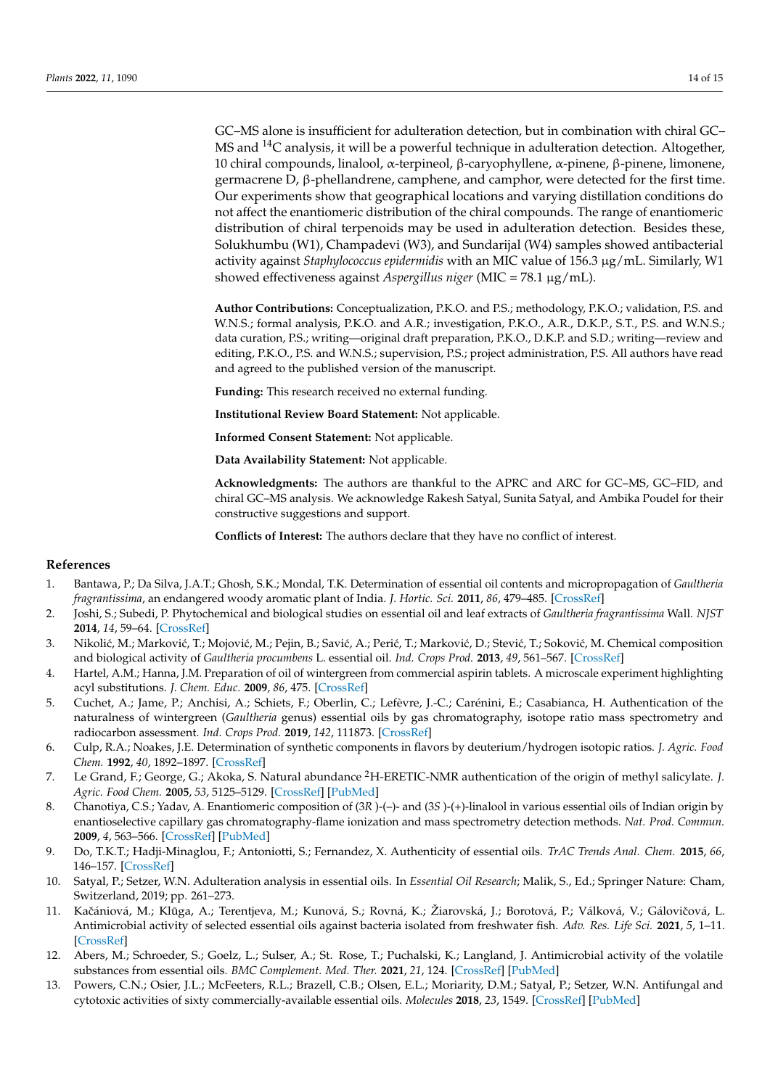GC–MS alone is insufficient for adulteration detection, but in combination with chiral GC– MS and <sup>14</sup>C analysis, it will be a powerful technique in adulteration detection. Altogether, 10 chiral compounds, linalool, α-terpineol, β-caryophyllene, α-pinene, β-pinene, limonene, germacrene D, β-phellandrene, camphene, and camphor, were detected for the first time. Our experiments show that geographical locations and varying distillation conditions do not affect the enantiomeric distribution of the chiral compounds. The range of enantiomeric distribution of chiral terpenoids may be used in adulteration detection. Besides these, Solukhumbu (W1), Champadevi (W3), and Sundarijal (W4) samples showed antibacterial activity against *Staphylococcus epidermidis* with an MIC value of 156.3 µg/mL. Similarly, W1 showed effectiveness against *Aspergillus niger* (MIC = 78.1 µg/mL).

**Author Contributions:** Conceptualization, P.K.O. and P.S.; methodology, P.K.O.; validation, P.S. and W.N.S.; formal analysis, P.K.O. and A.R.; investigation, P.K.O., A.R., D.K.P., S.T., P.S. and W.N.S.; data curation, P.S.; writing—original draft preparation, P.K.O., D.K.P. and S.D.; writing—review and editing, P.K.O., P.S. and W.N.S.; supervision, P.S.; project administration, P.S. All authors have read and agreed to the published version of the manuscript.

**Funding:** This research received no external funding.

**Institutional Review Board Statement:** Not applicable.

**Informed Consent Statement:** Not applicable.

**Data Availability Statement:** Not applicable.

**Acknowledgments:** The authors are thankful to the APRC and ARC for GC–MS, GC–FID, and chiral GC–MS analysis. We acknowledge Rakesh Satyal, Sunita Satyal, and Ambika Poudel for their constructive suggestions and support.

**Conflicts of Interest:** The authors declare that they have no conflict of interest.

#### **References**

- <span id="page-13-0"></span>1. Bantawa, P.; Da Silva, J.A.T.; Ghosh, S.K.; Mondal, T.K. Determination of essential oil contents and micropropagation of *Gaultheria fragrantissima*, an endangered woody aromatic plant of India. *J. Hortic. Sci.* **2011**, *86*, 479–485. [\[CrossRef\]](http://doi.org/10.1080/14620316.2011.11512792)
- 2. Joshi, S.; Subedi, P. Phytochemical and biological studies on essential oil and leaf extracts of *Gaultheria fragrantissima* Wall. *NJST* **2014**, *14*, 59–64. [\[CrossRef\]](http://doi.org/10.3126/njst.v14i2.10416)
- <span id="page-13-1"></span>3. Nikolić, M.; Marković, T.; Mojović, M.; Pejin, B.; Savić, A.; Perić, T.; Marković, D.; Stević, T.; Soković, M. Chemical composition and biological activity of *Gaultheria procumbens* L. essential oil. *Ind. Crops Prod.* **2013**, *49*, 561–567. [\[CrossRef\]](http://doi.org/10.1016/j.indcrop.2013.06.002)
- <span id="page-13-2"></span>4. Hartel, A.M.; Hanna, J.M. Preparation of oil of wintergreen from commercial aspirin tablets. A microscale experiment highlighting acyl substitutions. *J. Chem. Educ.* **2009**, *86*, 475. [\[CrossRef\]](http://doi.org/10.1021/ed086p475)
- <span id="page-13-3"></span>5. Cuchet, A.; Jame, P.; Anchisi, A.; Schiets, F.; Oberlin, C.; Lefèvre, J.-C.; Carénini, E.; Casabianca, H. Authentication of the naturalness of wintergreen (*Gaultheria* genus) essential oils by gas chromatography, isotope ratio mass spectrometry and radiocarbon assessment. *Ind. Crops Prod.* **2019**, *142*, 111873. [\[CrossRef\]](http://doi.org/10.1016/j.indcrop.2019.111873)
- <span id="page-13-4"></span>6. Culp, R.A.; Noakes, J.E. Determination of synthetic components in flavors by deuterium/hydrogen isotopic ratios. *J. Agric. Food Chem.* **1992**, *40*, 1892–1897. [\[CrossRef\]](http://doi.org/10.1021/jf00022a033)
- <span id="page-13-5"></span>7. Le Grand, F.; George, G.; Akoka, S. Natural abundance <sup>2</sup>H-ERETIC-NMR authentication of the origin of methyl salicylate. *J. Agric. Food Chem.* **2005**, *53*, 5125–5129. [\[CrossRef\]](http://doi.org/10.1021/jf050385a) [\[PubMed\]](http://www.ncbi.nlm.nih.gov/pubmed/15969485)
- <span id="page-13-6"></span>8. Chanotiya, C.S.; Yadav, A. Enantiomeric composition of (3*R* )-(–)- and (3*S* )-(+)-linalool in various essential oils of Indian origin by enantioselective capillary gas chromatography-flame ionization and mass spectrometry detection methods. *Nat. Prod. Commun.* **2009**, *4*, 563–566. [\[CrossRef\]](http://doi.org/10.1177/1934578X0900400424) [\[PubMed\]](http://www.ncbi.nlm.nih.gov/pubmed/19476006)
- <span id="page-13-7"></span>9. Do, T.K.T.; Hadji-Minaglou, F.; Antoniotti, S.; Fernandez, X. Authenticity of essential oils. *TrAC Trends Anal. Chem.* **2015**, *66*, 146–157. [\[CrossRef\]](http://doi.org/10.1016/j.trac.2014.10.007)
- <span id="page-13-8"></span>10. Satyal, P.; Setzer, W.N. Adulteration analysis in essential oils. In *Essential Oil Research*; Malik, S., Ed.; Springer Nature: Cham, Switzerland, 2019; pp. 261–273.
- <span id="page-13-9"></span>11. Kačániová, M.; Klūga, A.; Terentjeva, M.; Kunová, S.; Rovná, K.; Žiarovská, J.; Borotová, P.; Válková, V.; Gálovičová, L. Antimicrobial activity of selected essential oils against bacteria isolated from freshwater fish. *Adv. Res. Life Sci.* **2021**, *5*, 1–11. [\[CrossRef\]](http://doi.org/10.2478/arls-2021-0023)
- <span id="page-13-10"></span>12. Abers, M.; Schroeder, S.; Goelz, L.; Sulser, A.; St. Rose, T.; Puchalski, K.; Langland, J. Antimicrobial activity of the volatile substances from essential oils. *BMC Complement. Med. Ther.* **2021**, *21*, 124. [\[CrossRef\]](http://doi.org/10.1186/s12906-021-03285-3) [\[PubMed\]](http://www.ncbi.nlm.nih.gov/pubmed/33865375)
- <span id="page-13-11"></span>13. Powers, C.N.; Osier, J.L.; McFeeters, R.L.; Brazell, C.B.; Olsen, E.L.; Moriarity, D.M.; Satyal, P.; Setzer, W.N. Antifungal and cytotoxic activities of sixty commercially-available essential oils. *Molecules* **2018**, *23*, 1549. [\[CrossRef\]](http://doi.org/10.3390/molecules23071549) [\[PubMed\]](http://www.ncbi.nlm.nih.gov/pubmed/29954086)